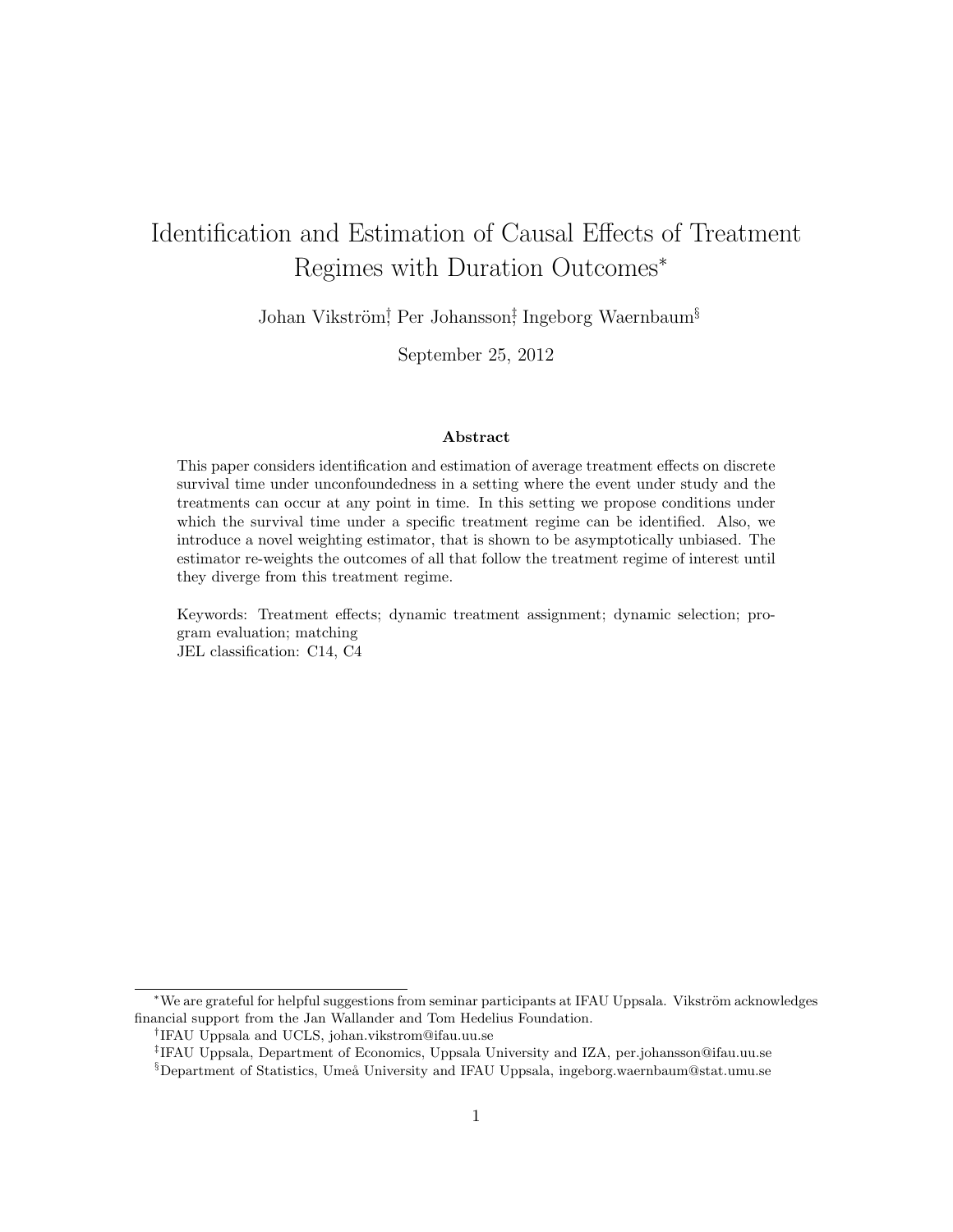# Identification and Estimation of Causal Effects of Treatment Regimes with Duration Outcomes*<sup>∗</sup>*

Johan Vikström<sup>†</sup>, Per Johansson<sup>‡</sup>, Ingeborg Waernbaum<sup>§</sup>

September 25, 2012

#### **Abstract**

This paper considers identification and estimation of average treatment effects on discrete survival time under unconfoundedness in a setting where the event under study and the treatments can occur at any point in time. In this setting we propose conditions under which the survival time under a specific treatment regime can be identified. Also, we introduce a novel weighting estimator, that is shown to be asymptotically unbiased. The estimator re-weights the outcomes of all that follow the treatment regime of interest until they diverge from this treatment regime.

Keywords: Treatment effects; dynamic treatment assignment; dynamic selection; program evaluation; matching JEL classification: C14, C4

*\**We are grateful for helpful suggestions from seminar participants at IFAU Uppsala. Vikström acknowledges financial support from the Jan Wallander and Tom Hedelius Foundation.

*†* IFAU Uppsala and UCLS, johan.vikstrom@ifau.uu.se

*‡* IFAU Uppsala, Department of Economics, Uppsala University and IZA, per.johansson@ifau.uu.se §Department of Statistics, Umeå University and IFAU Uppsala, ingeborg.waernbaum@stat.umu.se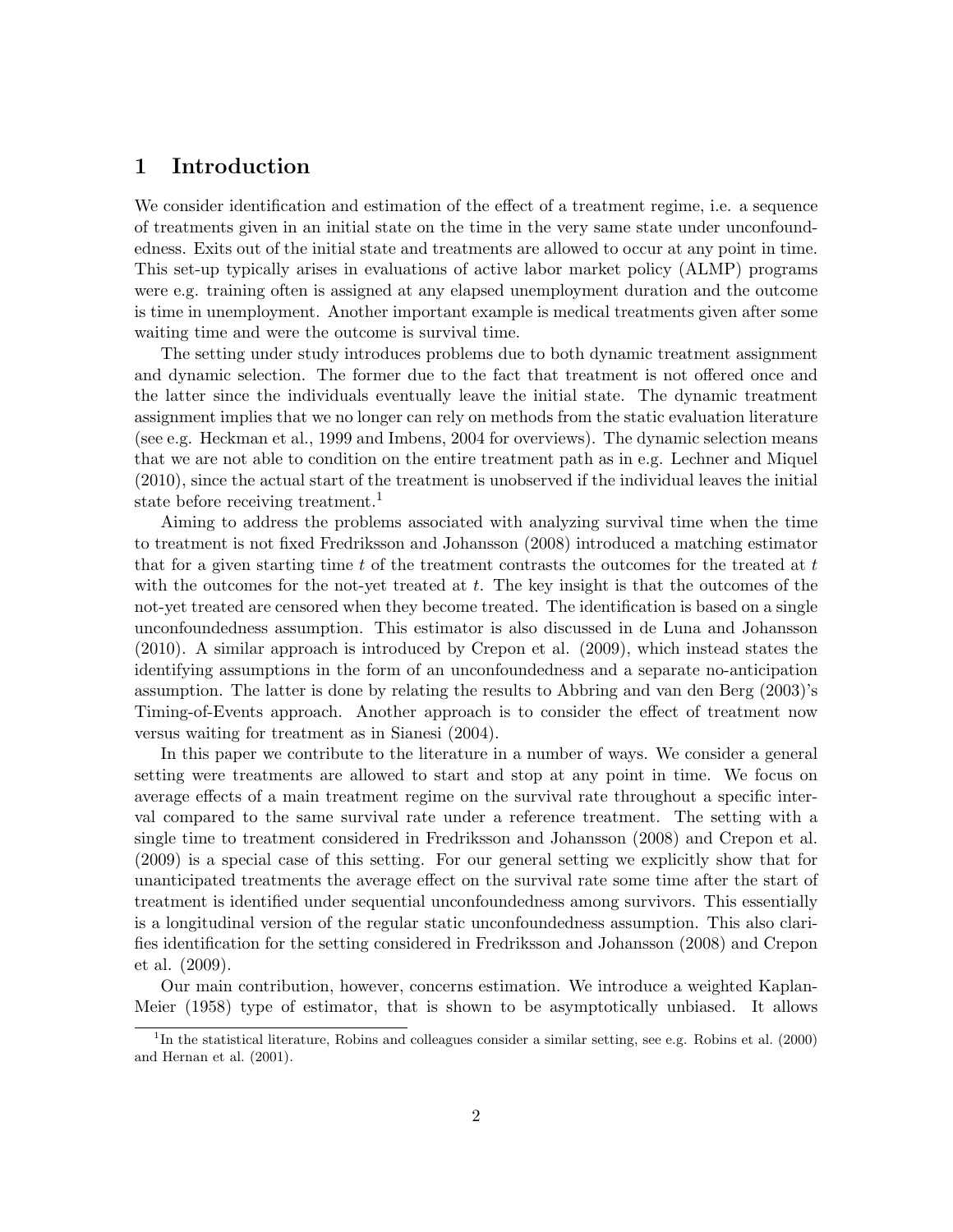## **1 Introduction**

We consider identification and estimation of the effect of a treatment regime, i.e. a sequence of treatments given in an initial state on the time in the very same state under unconfoundedness. Exits out of the initial state and treatments are allowed to occur at any point in time. This set-up typically arises in evaluations of active labor market policy (ALMP) programs were e.g. training often is assigned at any elapsed unemployment duration and the outcome is time in unemployment. Another important example is medical treatments given after some waiting time and were the outcome is survival time.

The setting under study introduces problems due to both dynamic treatment assignment and dynamic selection. The former due to the fact that treatment is not offered once and the latter since the individuals eventually leave the initial state. The dynamic treatment assignment implies that we no longer can rely on methods from the static evaluation literature (see e.g. Heckman et al., 1999 and Imbens, 2004 for overviews). The dynamic selection means that we are not able to condition on the entire treatment path as in e.g. Lechner and Miquel (2010), since the actual start of the treatment is unobserved if the individual leaves the initial state before receiving treatment.<sup>1</sup>

Aiming to address the problems associated with analyzing survival time when the time to treatment is not fixed Fredriksson and Johansson (2008) introduced a matching estimator that for a given starting time *t* of the treatment contrasts the outcomes for the treated at *t* with the outcomes for the not-yet treated at *t*. The key insight is that the outcomes of the not-yet treated are censored when they become treated. The identification is based on a single unconfoundedness assumption. This estimator is also discussed in de Luna and Johansson (2010). A similar approach is introduced by Crepon et al. (2009), which instead states the identifying assumptions in the form of an unconfoundedness and a separate no-anticipation assumption. The latter is done by relating the results to Abbring and van den Berg (2003)'s Timing-of-Events approach. Another approach is to consider the effect of treatment now versus waiting for treatment as in Sianesi (2004).

In this paper we contribute to the literature in a number of ways. We consider a general setting were treatments are allowed to start and stop at any point in time. We focus on average effects of a main treatment regime on the survival rate throughout a specific interval compared to the same survival rate under a reference treatment. The setting with a single time to treatment considered in Fredriksson and Johansson (2008) and Crepon et al. (2009) is a special case of this setting. For our general setting we explicitly show that for unanticipated treatments the average effect on the survival rate some time after the start of treatment is identified under sequential unconfoundedness among survivors. This essentially is a longitudinal version of the regular static unconfoundedness assumption. This also clarifies identification for the setting considered in Fredriksson and Johansson (2008) and Crepon et al. (2009).

Our main contribution, however, concerns estimation. We introduce a weighted Kaplan-Meier (1958) type of estimator, that is shown to be asymptotically unbiased. It allows

<sup>&</sup>lt;sup>1</sup>In the statistical literature, Robins and colleagues consider a similar setting, see e.g. Robins et al. (2000) and Hernan et al. (2001).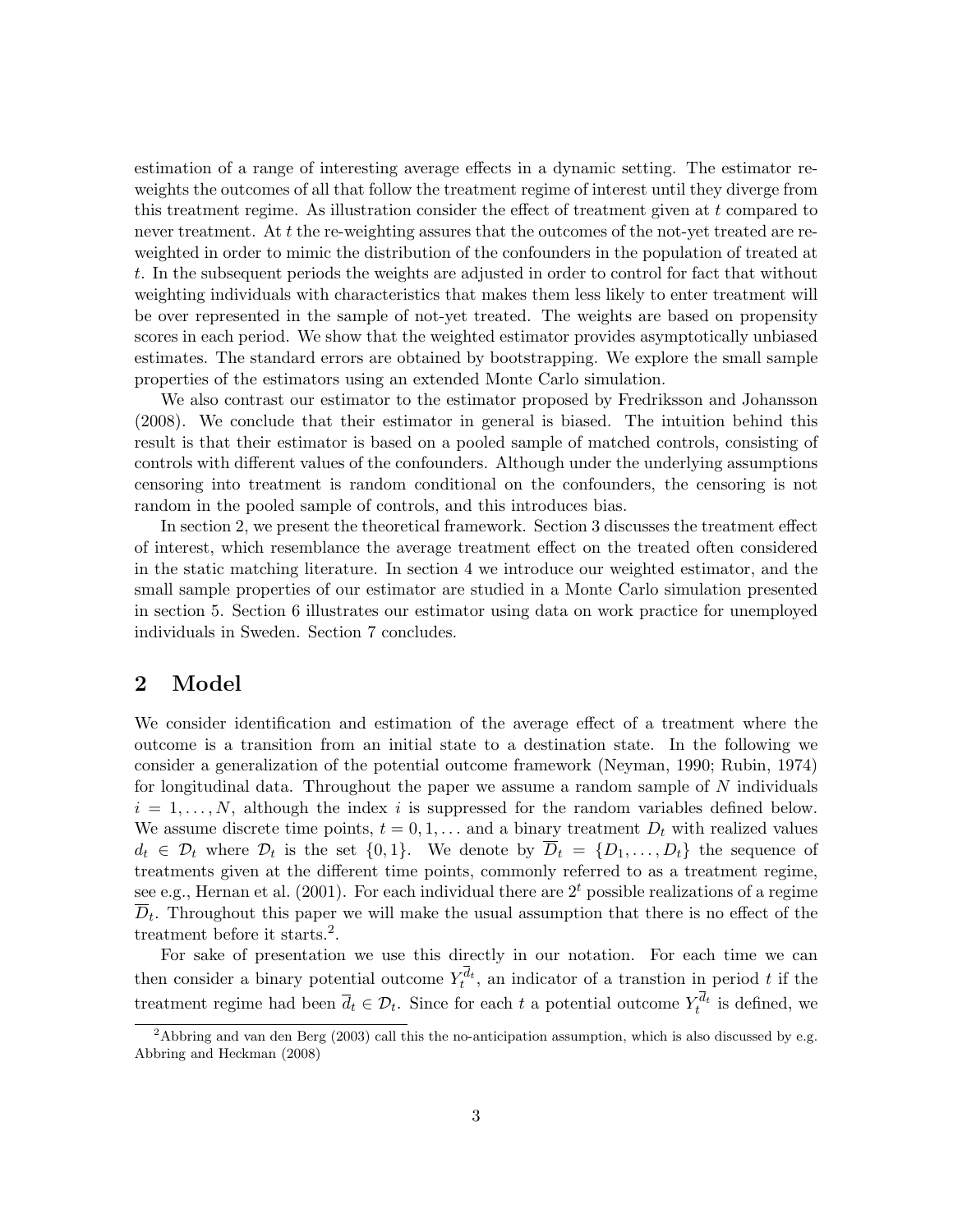estimation of a range of interesting average effects in a dynamic setting. The estimator reweights the outcomes of all that follow the treatment regime of interest until they diverge from this treatment regime. As illustration consider the effect of treatment given at *t* compared to never treatment. At t the re-weighting assures that the outcomes of the not-yet treated are reweighted in order to mimic the distribution of the confounders in the population of treated at *t*. In the subsequent periods the weights are adjusted in order to control for fact that without weighting individuals with characteristics that makes them less likely to enter treatment will be over represented in the sample of not-yet treated. The weights are based on propensity scores in each period. We show that the weighted estimator provides asymptotically unbiased estimates. The standard errors are obtained by bootstrapping. We explore the small sample properties of the estimators using an extended Monte Carlo simulation.

We also contrast our estimator to the estimator proposed by Fredriksson and Johansson (2008). We conclude that their estimator in general is biased. The intuition behind this result is that their estimator is based on a pooled sample of matched controls, consisting of controls with different values of the confounders. Although under the underlying assumptions censoring into treatment is random conditional on the confounders, the censoring is not random in the pooled sample of controls, and this introduces bias.

In section 2, we present the theoretical framework. Section 3 discusses the treatment effect of interest, which resemblance the average treatment effect on the treated often considered in the static matching literature. In section 4 we introduce our weighted estimator, and the small sample properties of our estimator are studied in a Monte Carlo simulation presented in section 5. Section 6 illustrates our estimator using data on work practice for unemployed individuals in Sweden. Section 7 concludes.

### **2 Model**

We consider identification and estimation of the average effect of a treatment where the outcome is a transition from an initial state to a destination state. In the following we consider a generalization of the potential outcome framework (Neyman, 1990; Rubin, 1974) for longitudinal data. Throughout the paper we assume a random sample of *N* individuals  $i = 1, \ldots, N$ , although the index *i* is suppressed for the random variables defined below. We assume discrete time points,  $t = 0, 1, \ldots$  and a binary treatment  $D_t$  with realized values  $d_t \in \mathcal{D}_t$  where  $\mathcal{D}_t$  is the set  $\{0,1\}$ . We denote by  $D_t = \{D_1, \ldots, D_t\}$  the sequence of treatments given at the different time points, commonly referred to as a treatment regime, see e.g., Hernan et al.  $(2001)$ . For each individual there are  $2<sup>t</sup>$  possible realizations of a regime  $\overline{D}_t$ . Throughout this paper we will make the usual assumption that there is no effect of the treatment before it starts.<sup>2</sup>.

For sake of presentation we use this directly in our notation. For each time we can then consider a binary potential outcome  $Y_t^{d_t}$ , an indicator of a transtion in period *t* if the treatment regime had been  $\overline{d}_t \in \mathcal{D}_t$ . Since for each *t* a potential outcome  $Y_t^{d_t}$  is defined, we

<sup>&</sup>lt;sup>2</sup>Abbring and van den Berg (2003) call this the no-anticipation assumption, which is also discussed by e.g. Abbring and Heckman (2008)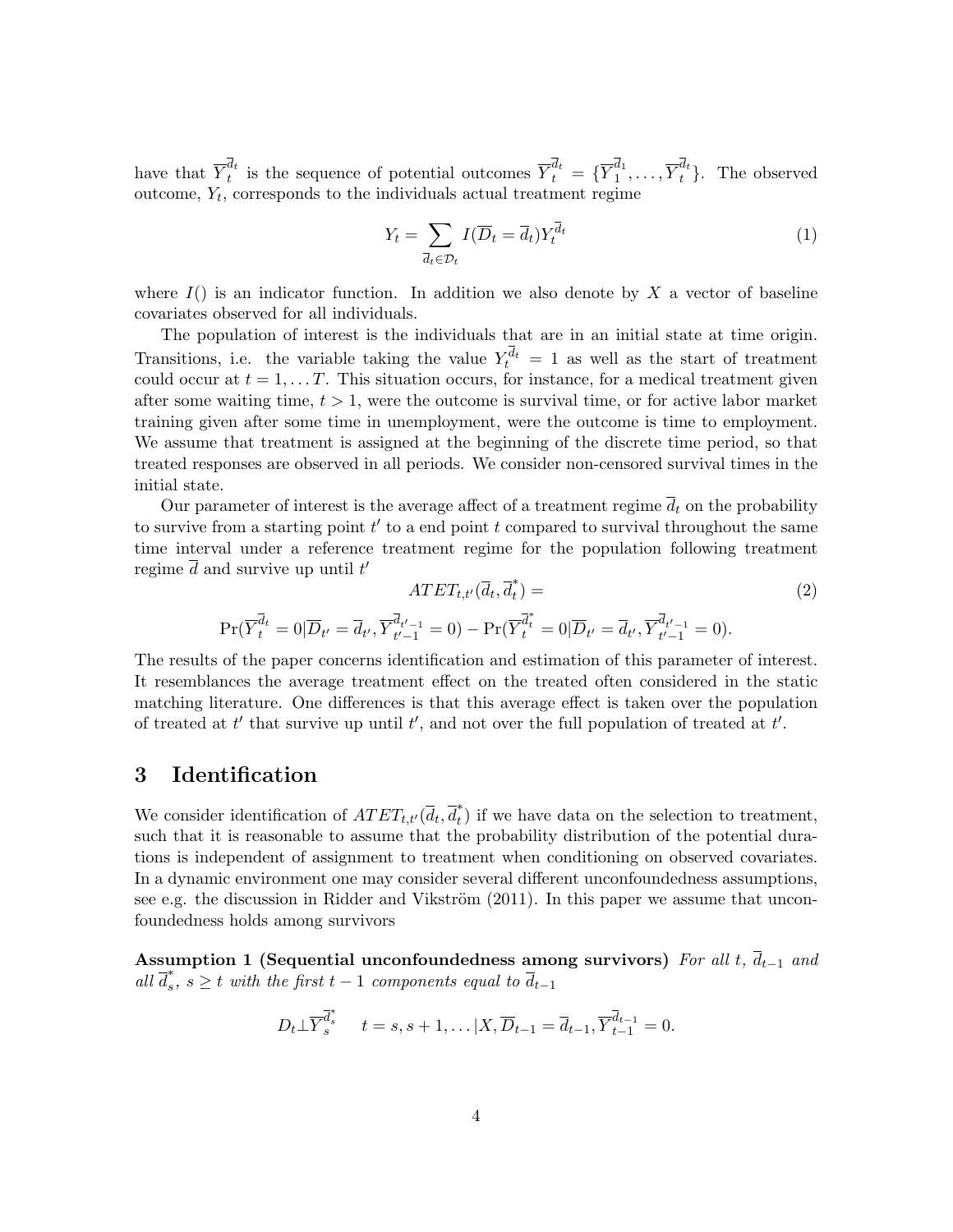have that  $\overline{Y}_t^{d_t}$  $\overline{Y}^{d_t}_t$  is the sequence of potential outcomes  $\overline{Y}^{d_t}_t = \{\overline{Y}^{d_1}_1\}$  $\overline{Y}_1^{d_1}, \ldots, \overline{Y}_t^{d_t}$ . The observed outcome, *Y<sup>t</sup>* , corresponds to the individuals actual treatment regime

$$
Y_t = \sum_{\overline{d}_t \in \mathcal{D}_t} I(\overline{D}_t = \overline{d}_t) Y_t^{\overline{d}_t}
$$
\n
$$
\tag{1}
$$

where  $I()$  is an indicator function. In addition we also denote by  $X$  a vector of baseline covariates observed for all individuals.

The population of interest is the individuals that are in an initial state at time origin. Transitions, i.e. the variable taking the value  $Y_t^{d_t} = 1$  as well as the start of treatment could occur at  $t = 1, \ldots, T$ . This situation occurs, for instance, for a medical treatment given after some waiting time,  $t > 1$ , were the outcome is survival time, or for active labor market training given after some time in unemployment, were the outcome is time to employment. We assume that treatment is assigned at the beginning of the discrete time period, so that treated responses are observed in all periods. We consider non-censored survival times in the initial state.

Our parameter of interest is the average affect of a treatment regime  $\overline{d}_t$  on the probability to survive from a starting point *t ′* to a end point *t* compared to survival throughout the same time interval under a reference treatment regime for the population following treatment regime *d* and survive up until *t ′*

$$
ATET_{t,t'}(\overline{d}_t, \overline{d}_t^*) =
$$
  
\n
$$
\Pr(\overline{Y}_t^{\overline{d}_t} = 0 | \overline{D}_{t'} = \overline{d}_{t'}, \overline{Y}_{t'-1}^{\overline{d}_{t'-1}} = 0) - \Pr(\overline{Y}_t^{\overline{d}_t^*} = 0 | \overline{D}_{t'} = \overline{d}_{t'}, \overline{Y}_{t'-1}^{\overline{d}_{t'-1}} = 0).
$$
\n(2)

The results of the paper concerns identification and estimation of this parameter of interest. It resemblances the average treatment effect on the treated often considered in the static matching literature. One differences is that this average effect is taken over the population of treated at *t ′* that survive up until *t ′* , and not over the full population of treated at *t ′* .

#### **3 Identification**

We consider identification of  $ATET_{t,t'}(\overline{d}_t, \overline{d}_t^*)$  if we have data on the selection to treatment, such that it is reasonable to assume that the probability distribution of the potential durations is independent of assignment to treatment when conditioning on observed covariates. In a dynamic environment one may consider several different unconfoundedness assumptions, see e.g. the discussion in Ridder and Vikström  $(2011)$ . In this paper we assume that unconfoundedness holds among survivors

**Assumption 1 (Sequential unconfoundedness among survivors)** *For all t, dt−*<sup>1</sup> *and all*  $\overline{d}_s^*$ ,  $s \geq t$  *with the first*  $t-1$  *components equal to*  $\overline{d}_{t-1}$ 

$$
D_t \perp \overline{Y}_s^{\overline{d}_s^*}
$$
  $t = s, s + 1, \ldots | X, \overline{D}_{t-1} = \overline{d}_{t-1}, \overline{Y}_{t-1}^{\overline{d}_{t-1}} = 0.$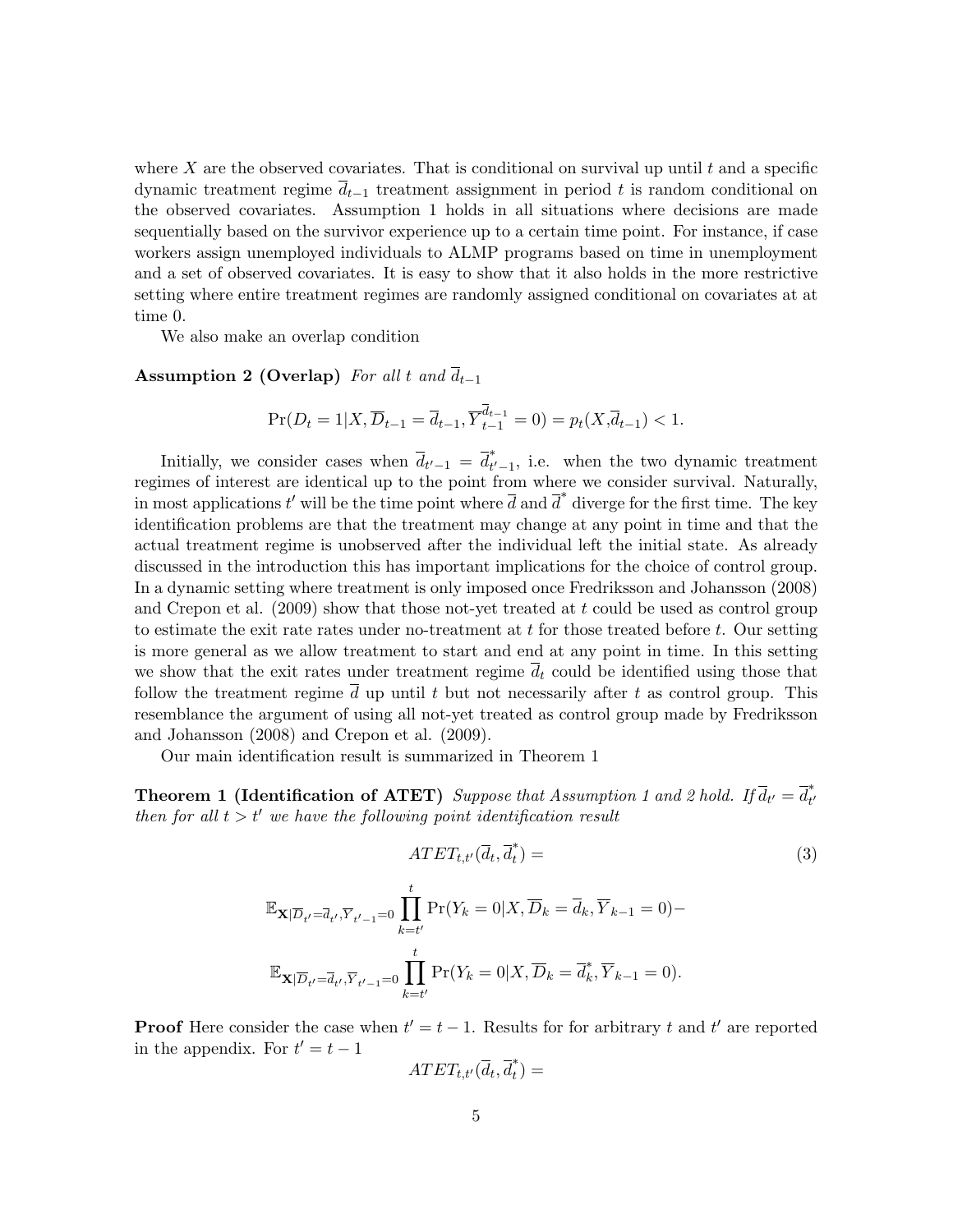where  $X$  are the observed covariates. That is conditional on survival up until  $t$  and a specific dynamic treatment regime *dt−*<sup>1</sup> treatment assignment in period *t* is random conditional on the observed covariates. Assumption 1 holds in all situations where decisions are made sequentially based on the survivor experience up to a certain time point. For instance, if case workers assign unemployed individuals to ALMP programs based on time in unemployment and a set of observed covariates. It is easy to show that it also holds in the more restrictive setting where entire treatment regimes are randomly assigned conditional on covariates at at time 0.

We also make an overlap condition

**Assumption 2 (Overlap)** *For all t* and  $\overline{d}_{t-1}$ 

$$
\Pr(D_t = 1 | X, \overline{D}_{t-1} = \overline{d}_{t-1}, \overline{Y}_{t-1}^{\overline{d}_{t-1}} = 0) = p_t(X, \overline{d}_{t-1}) < 1.
$$

Initially, we consider cases when  $\overline{d}_{t'-1} = \overline{d}_{t'-1}^*$ , i.e. when the two dynamic treatment regimes of interest are identical up to the point from where we consider survival. Naturally, in most applications  $t'$  will be the time point where  $\overline{d}$  and  $\overline{d}^*$  diverge for the first time. The key identification problems are that the treatment may change at any point in time and that the actual treatment regime is unobserved after the individual left the initial state. As already discussed in the introduction this has important implications for the choice of control group. In a dynamic setting where treatment is only imposed once Fredriksson and Johansson (2008) and Crepon et al. (2009) show that those not-yet treated at *t* could be used as control group to estimate the exit rate rates under no-treatment at *t* for those treated before *t*. Our setting is more general as we allow treatment to start and end at any point in time. In this setting we show that the exit rates under treatment regime  $\overline{d}_t$  could be identified using those that follow the treatment regime  $\overline{d}$  up until  $t$  but not necessarily after  $t$  as control group. This resemblance the argument of using all not-yet treated as control group made by Fredriksson and Johansson (2008) and Crepon et al. (2009).

Our main identification result is summarized in Theorem 1

**Theorem 1 (Identification of ATET)** Suppose that Assumption 1 and 2 hold. If  $\overline{d}_{t'} = \overline{d}_{t'}^*$ *then for all*  $t > t'$  *we have the following point identification result* 

$$
ATET_{t,t'}(\overline{d}_t, \overline{d}_t^*) =
$$
\n
$$
\mathbb{E}_{\mathbf{X}|\overline{D}_{t'}=\overline{d}_{t'}, \overline{Y}_{t'-1}=0} \prod_{k=t'}^{t} \Pr(Y_k = 0 | X, \overline{D}_k = \overline{d}_k, \overline{Y}_{k-1} = 0) -
$$
\n
$$
\mathbb{E}_{\mathbf{X}|\overline{D}_{t'}=\overline{d}_{t'}, \overline{Y}_{t'-1}=0} \prod_{k=t'}^{t} \Pr(Y_k = 0 | X, \overline{D}_k = \overline{d}_k^*, \overline{Y}_{k-1} = 0).
$$
\n(3)

**Proof** Here consider the case when  $t' = t - 1$ . Results for for arbitrary t and t' are reported in the appendix. For  $t' = t - 1$ 

$$
ATET_{t,t'}(\overline{d}_t,\overline{d}_t^*)=
$$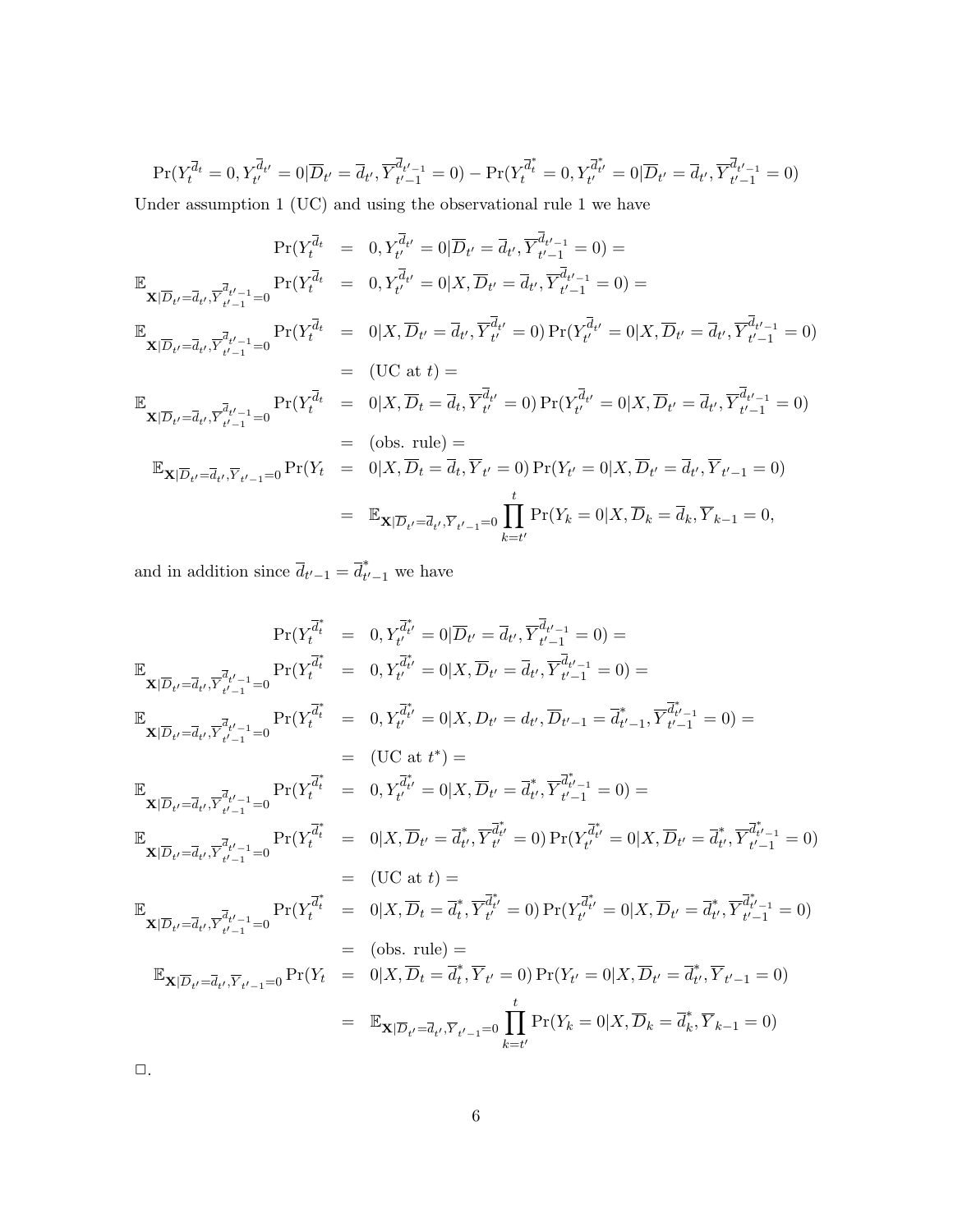$$
\Pr(Y_t^{\overline{d}_t} = 0, Y_{t'}^{\overline{d}_{t'}} = 0 | \overline{D}_{t'} = \overline{d}_{t'}, \overline{Y}_{t'-1}^{\overline{d}_{t'-1}} = 0) - \Pr(Y_t^{\overline{d}_t^*} = 0, Y_{t'}^{\overline{d}_t^*} = 0 | \overline{D}_{t'} = \overline{d}_{t'}, \overline{Y}_{t'-1}^{\overline{d}_{t'-1}} = 0)
$$

Under assumption 1 (UC) and using the observational rule 1 we have

$$
Pr(Y_t^{\bar{d}_t} = 0, Y_{t'}^{\bar{d}_{t'}} = 0 | \overline{D}_{t'} = \overline{d}_{t'}, \overline{Y}_{t'-1}^{\bar{d}_{t'-1}} = 0) =
$$
  
\n
$$
\mathbb{E}_{\mathbf{X}|\overline{D}_{t'} = \overline{d}_{t'}, \overline{Y}_{t'-1}^{\bar{d}_{t'-1}} = 0} Pr(Y_t^{\bar{d}_t} = 0, Y_{t'}^{\bar{d}_{t'}} = 0 | X, \overline{D}_{t'} = \overline{d}_{t'}, \overline{Y}_{t'-1}^{\bar{d}_{t'-1}} = 0) =
$$
  
\n
$$
\mathbb{E}_{\mathbf{X}|\overline{D}_{t'} = \overline{d}_{t'}, \overline{Y}_{t'-1}^{\bar{d}_{t'-1}} = 0} Pr(Y_t^{\bar{d}_t} = 0 | X, \overline{D}_{t'} = \overline{d}_{t'}, \overline{Y}_{t'}^{\bar{d}_{t'}} = 0) Pr(Y_{t'}^{\bar{d}_{t'}} = 0 | X, \overline{D}_{t'} = \overline{d}_{t'}, \overline{Y}_{t'-1}^{\bar{d}_{t'-1}} = 0)
$$
  
\n
$$
= (UC \text{ at } t) =
$$
  
\n
$$
\mathbb{E}_{\mathbf{X}|\overline{D}_{t'} = \overline{d}_{t'}, \overline{Y}_{t'-1}^{\bar{d}_{t'-1}} = 0} Pr(Y_t^{\bar{d}_t} = 0 | X, \overline{D}_t = \overline{d}_t, \overline{Y}_{t'}^{\bar{d}_{t'}} = 0) Pr(Y_{t'}^{\bar{d}_{t'}} = 0 | X, \overline{D}_{t'} = \overline{d}_{t'}, \overline{Y}_{t'-1}^{\bar{d}_{t'-1}} = 0)
$$
  
\n
$$
= (obs. rule) =
$$
  
\n
$$
\mathbb{E}_{\mathbf{X}|\overline{D}_{t'} = \overline{d}_{t'}, \overline{Y}_{t'-1} = 0} Pr(Y_t = 0 | X, \overline{D}_t = \overline{d}_t, \overline{Y}_{t'} = 0) Pr(Y_{t'} = 0 | X, \overline{D}_{t'} = \overline{d}_{t'}, \overline{Y}_{t'-1} = 0)
$$
  
\n
$$
= \mathbb{E}_{\
$$

and in addition since  $\overline{d}_{t'-1} = \overline{d}_{t'-1}^*$  we have

$$
Pr(Y_t^{\overline{d}_t^*} = 0, Y_{t'}^{\overline{d}_{t'}} = 0 | \overline{D}_{t'} = \overline{d}_{t'}, \overline{Y}_{t'-1}^{\overline{d}_{t'-1}} = 0) =
$$
\n
$$
\mathbb{E}_{\mathbf{X}|\overline{D}_{t'} = \overline{d}_{t'}, \overline{Y}_{t'-1}^{\overline{d}_{t'-1}} = 0} \Pr(Y_t^{\overline{d}_t^*} = 0, Y_{t'}^{\overline{d}_{t'}} = 0 | X, \overline{D}_{t'} = \overline{d}_{t'}, \overline{Y}_{t'-1}^{\overline{d}_{t'-1}} = 0) =
$$
\n
$$
\mathbb{E}_{\mathbf{X}|\overline{D}_{t'} = \overline{d}_{t'}, \overline{Y}_{t'-1}^{\overline{d}_{t'-1}} = 0} \Pr(Y_t^{\overline{d}_t^*} = 0, Y_{t'}^{\overline{d}_{t'}} = 0 | X, D_{t'} = d_{t'}, \overline{D}_{t'-1} = \overline{d}_{t'-1}^*, \overline{Y}_{t'-1}^{\overline{d}_{t'-1}} = 0) =
$$
\n
$$
= (UC \text{ at } t^*) =
$$
\n
$$
\mathbb{E}_{\mathbf{X}|\overline{D}_{t'} = \overline{d}_{t'}, \overline{Y}_{t'-1}^{\overline{d}_{t'-1}} = 0} \Pr(Y_t^{\overline{d}_t^*} = 0, Y_{t'}^{\overline{d}_{t'}} = 0 | X, \overline{D}_{t'} = \overline{d}_{t'}^*, \overline{Y}_{t'-1}^{\overline{d}_{t'-1}} = 0) =
$$
\n
$$
\mathbb{E}_{\mathbf{X}|\overline{D}_{t'} = \overline{d}_{t'}, \overline{Y}_{t'-1}^{\overline{d}_{t'-1}} = 0} \Pr(Y_t^{\overline{d}_t^*} = 0 | X, \overline{D}_{t'} = \overline{d}_{t'}^*, \overline{Y}_{t'}^{\overline{d}_{t'}} = 0) \Pr(Y_{t'}^{\overline{d}_{t'}} = 0 | X, \overline{D}_{t'} = \overline{d}_{t'}^*, \overline{Y}_{t'-1}^{\overline{d}_{t'-1}} = 0)
$$
\n
$$
= (UC \text{ at } t) =
$$

 $\Box$ .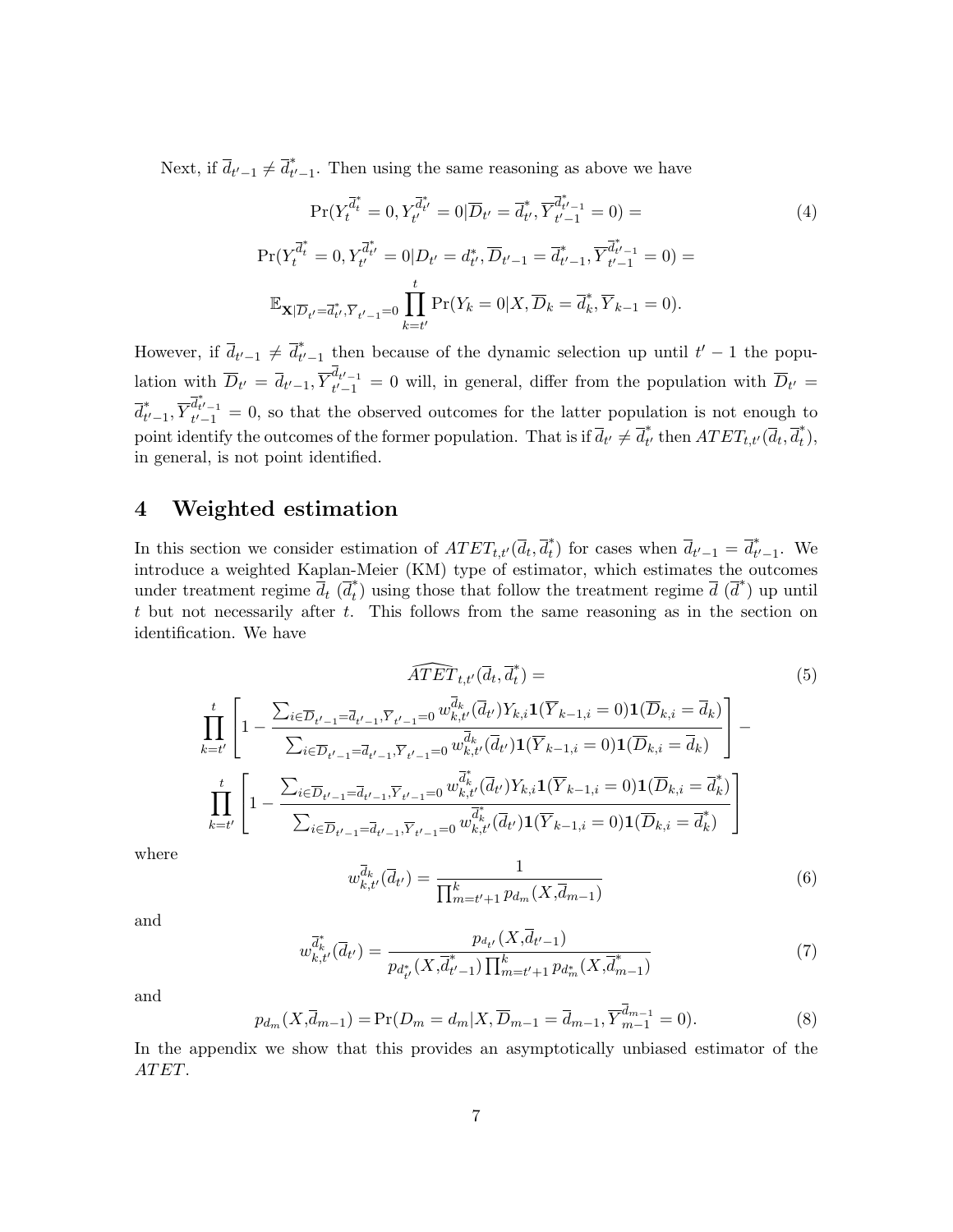Next, if  $\overline{d}_{t'-1} \neq \overline{d}_{t'-1}^*$ . Then using the same reasoning as above we have

$$
\Pr(Y_t^{\overline{d}_t^*} = 0, Y_{t'}^{\overline{d}_{t'}^*} = 0 | \overline{D}_{t'} = \overline{d}_{t'}^*, \overline{Y}_{t'-1}^{\overline{d}_{t'-1}^*} = 0) =
$$
\n
$$
\Pr(Y_t^{\overline{d}_t^*} = 0, Y_{t'}^{\overline{d}_{t'}} = 0 | D_{t'} = d_{t'}^*, \overline{D}_{t'-1} = \overline{d}_{t'-1}^*, \overline{Y}_{t'-1}^{\overline{d}_{t'-1}^*} = 0) =
$$
\n
$$
\mathbb{E}_{\mathbf{X}|\overline{D}_{t'} = \overline{d}_{t'}^*, \overline{Y}_{t'-1} = 0} \prod_{k=t'}^{t} \Pr(Y_k = 0 | X, \overline{D}_k = \overline{d}_k^*, \overline{Y}_{k-1} = 0).
$$
\n(4)

However, if  $\overline{d}_{t'-1} \neq \overline{d}_{t'-1}^*$  then because of the dynamic selection up until  $t'-1$  the population with  $\overline{D}_{t'} = \overline{d}_{t'-1}$ ,  $\overline{Y}_{t'-1}^{d_{t'-1}} = 0$  will, in general, differ from the population with  $\overline{D}_{t'} =$  $\overline{d}_{t'-1}^*, \overline{Y}_{t'-1}^{\overline{d}_{t'-1}^*} = 0$ , so that the observed outcomes for the latter population is not enough to point identify the outcomes of the former population. That is if  $\overline{d}_{t'} \neq \overline{d}_{t'}^*$  then  $ATET_{t,t'}(\overline{d}_t, \overline{d}_t^*)$ , in general, is not point identified.

## **4 Weighted estimation**

In this section we consider estimation of  $ATET_{t,t'}(\overline{d}_t, \overline{d}_t^*)$  for cases when  $\overline{d}_{t'-1} = \overline{d}_{t'-1}^*$ . We introduce a weighted Kaplan-Meier (KM) type of estimator, which estimates the outcomes under treatment regime  $\overline{d}_t$  ( $\overline{d}_t^*$ ) using those that follow the treatment regime  $\overline{d}$  ( $\overline{d}^*$ ) up until *t* but not necessarily after *t*. This follows from the same reasoning as in the section on identification. We have

$$
\widehat{ATET}_{t,t'}(\overline{d}_{t},\overline{d}_{t}^{*}) =
$$
\n
$$
\prod_{k=t'}^{t} \left[ 1 - \frac{\sum_{i \in \overline{D}_{t'-1} = \overline{d}_{t'-1}, \overline{Y}_{t'-1} = 0} w_{k,t'}^{\overline{d}_{k}}(\overline{d}_{t'}) Y_{k,i} \mathbf{1}(\overline{Y}_{k-1,i} = 0) \mathbf{1}(\overline{D}_{k,i} = \overline{d}_{k})}{\sum_{i \in \overline{D}_{t'-1} = \overline{d}_{t'-1}, \overline{Y}_{t'-1} = 0} w_{k,t'}^{\overline{d}_{k}}(\overline{d}_{t'}) \mathbf{1}(\overline{Y}_{k-1,i} = 0) \mathbf{1}(\overline{D}_{k,i} = \overline{d}_{k})} \right] -
$$
\n
$$
\prod_{k=t'}^{t} \left[ 1 - \frac{\sum_{i \in \overline{D}_{t'-1} = \overline{d}_{t'-1}, \overline{Y}_{t'-1} = 0} w_{k,t'}^{\overline{d}_{k}^{*}}(\overline{d}_{t'}) Y_{k,i} \mathbf{1}(\overline{Y}_{k-1,i} = 0) \mathbf{1}(\overline{D}_{k,i} = \overline{d}_{k}^{*})}{\sum_{i \in \overline{D}_{t'-1} = \overline{d}_{t'-1}, \overline{Y}_{t'-1} = 0} w_{k,t'}^{\overline{d}_{k}^{*}}(\overline{d}_{t'}) \mathbf{1}(\overline{Y}_{k-1,i} = 0) \mathbf{1}(\overline{D}_{k,i} = \overline{d}_{k}^{*})} \right]
$$
\n(5)

where

$$
w_{k,t'}^{\overline{d}_k}(\overline{d}_{t'}) = \frac{1}{\prod_{m=t'+1}^k p_{d_m}(X, \overline{d}_{m-1})}
$$
(6)

and

$$
w_{k,t'}^{\overline{d}_k^*}(\overline{d}_{t'}) = \frac{p_{d_{t'}}(X, \overline{d}_{t'-1})}{p_{d_{t'}^*}(X, \overline{d}_{t'-1}^*) \prod_{m=t'+1}^k p_{d_m^*}(X, \overline{d}_{m-1}^*)}
$$
(7)

and

$$
p_{d_m}(X, \overline{d}_{m-1}) = \Pr(D_m = d_m | X, \overline{D}_{m-1} = \overline{d}_{m-1}, \overline{Y}_{m-1}^{\overline{d}_{m-1}} = 0).
$$
 (8)

In the appendix we show that this provides an asymptotically unbiased estimator of the *AT ET*.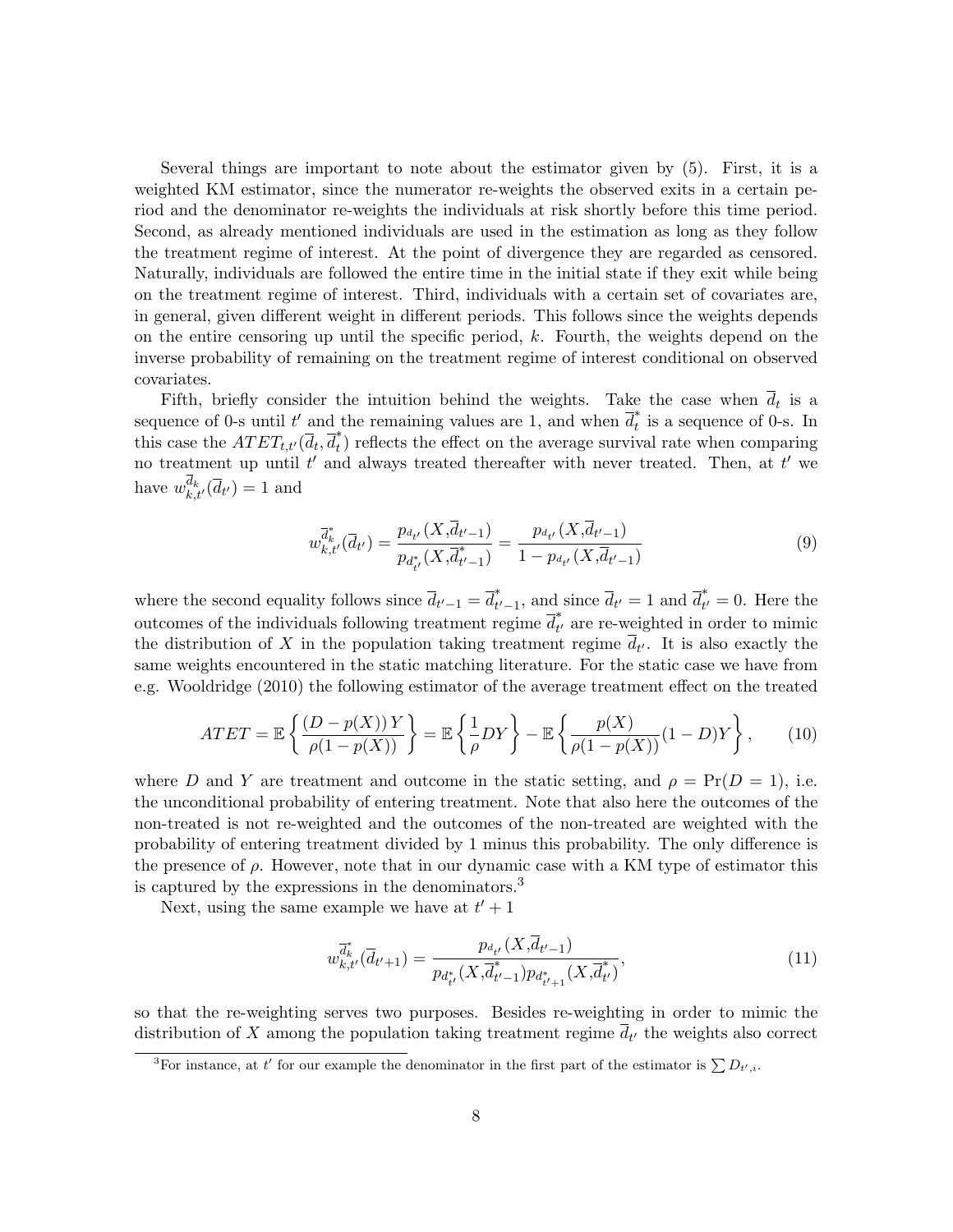Several things are important to note about the estimator given by (5). First, it is a weighted KM estimator, since the numerator re-weights the observed exits in a certain period and the denominator re-weights the individuals at risk shortly before this time period. Second, as already mentioned individuals are used in the estimation as long as they follow the treatment regime of interest. At the point of divergence they are regarded as censored. Naturally, individuals are followed the entire time in the initial state if they exit while being on the treatment regime of interest. Third, individuals with a certain set of covariates are, in general, given different weight in different periods. This follows since the weights depends on the entire censoring up until the specific period, *k*. Fourth, the weights depend on the inverse probability of remaining on the treatment regime of interest conditional on observed covariates.

Fifth, briefly consider the intuition behind the weights. Take the case when  $d_t$  is a sequence of 0-s until  $t'$  and the remaining values are 1, and when  $\overline{d}_t^*$  is a sequence of 0-s. In this case the  $ATET_{t,t'}(\overline{d}_t, \overline{d}_t^*)$  reflects the effect on the average survival rate when comparing no treatment up until *t ′* and always treated thereafter with never treated. Then, at *t ′* we have  $w_{k,t'}^{d_k}(\overline{d}_{t'})=1$  and

$$
w_{k,t'}^{\overline{d}_{k}^{*}}(\overline{d}_{t'}) = \frac{p_{d_{t'}}(X, \overline{d}_{t'-1})}{p_{d_{t'}^{*}}(X, \overline{d}_{t'-1}^{*})} = \frac{p_{d_{t'}}(X, \overline{d}_{t'-1})}{1 - p_{d_{t'}}(X, \overline{d}_{t'-1})}
$$
(9)

where the second equality follows since  $\overline{d}_{t'-1} = \overline{d}_{t'-1}^*$ , and since  $\overline{d}_{t'} = 1$  and  $\overline{d}_{t'}^* = 0$ . Here the outcomes of the individuals following treatment regime  $\overline{d}_{t'}^*$  are re-weighted in order to mimic the distribution of X in the population taking treatment regime  $d_{t'}$ . It is also exactly the same weights encountered in the static matching literature. For the static case we have from e.g. Wooldridge (2010) the following estimator of the average treatment effect on the treated

$$
ATET = \mathbb{E}\left\{\frac{(D - p(X))Y}{\rho(1 - p(X))}\right\} = \mathbb{E}\left\{\frac{1}{\rho}DY\right\} - \mathbb{E}\left\{\frac{p(X)}{\rho(1 - p(X))}(1 - D)Y\right\},\qquad(10)
$$

where *D* and *Y* are treatment and outcome in the static setting, and  $\rho = \Pr(D = 1)$ , i.e. the unconditional probability of entering treatment. Note that also here the outcomes of the non-treated is not re-weighted and the outcomes of the non-treated are weighted with the probability of entering treatment divided by 1 minus this probability. The only difference is the presence of  $\rho$ . However, note that in our dynamic case with a KM type of estimator this is captured by the expressions in the denominators.<sup>3</sup>

Next, using the same example we have at  $t' + 1$ 

$$
w_{k,t'}^{\overrightarrow{d}_k^*}(\overrightarrow{d}_{t'+1}) = \frac{p_{d_{t'}}(X, \overrightarrow{d}_{t'-1})}{p_{d_{t'}^*}(X, \overrightarrow{d}_{t'-1})p_{d_{t'+1}^*}(X, \overrightarrow{d}_{t'})},\tag{11}
$$

so that the re-weighting serves two purposes. Besides re-weighting in order to mimic the distribution of *X* among the population taking treatment regime *d<sup>t</sup> ′* the weights also correct

<sup>&</sup>lt;sup>3</sup>For instance, at *t'* for our example the denominator in the first part of the estimator is  $\sum D_{t',i}$ .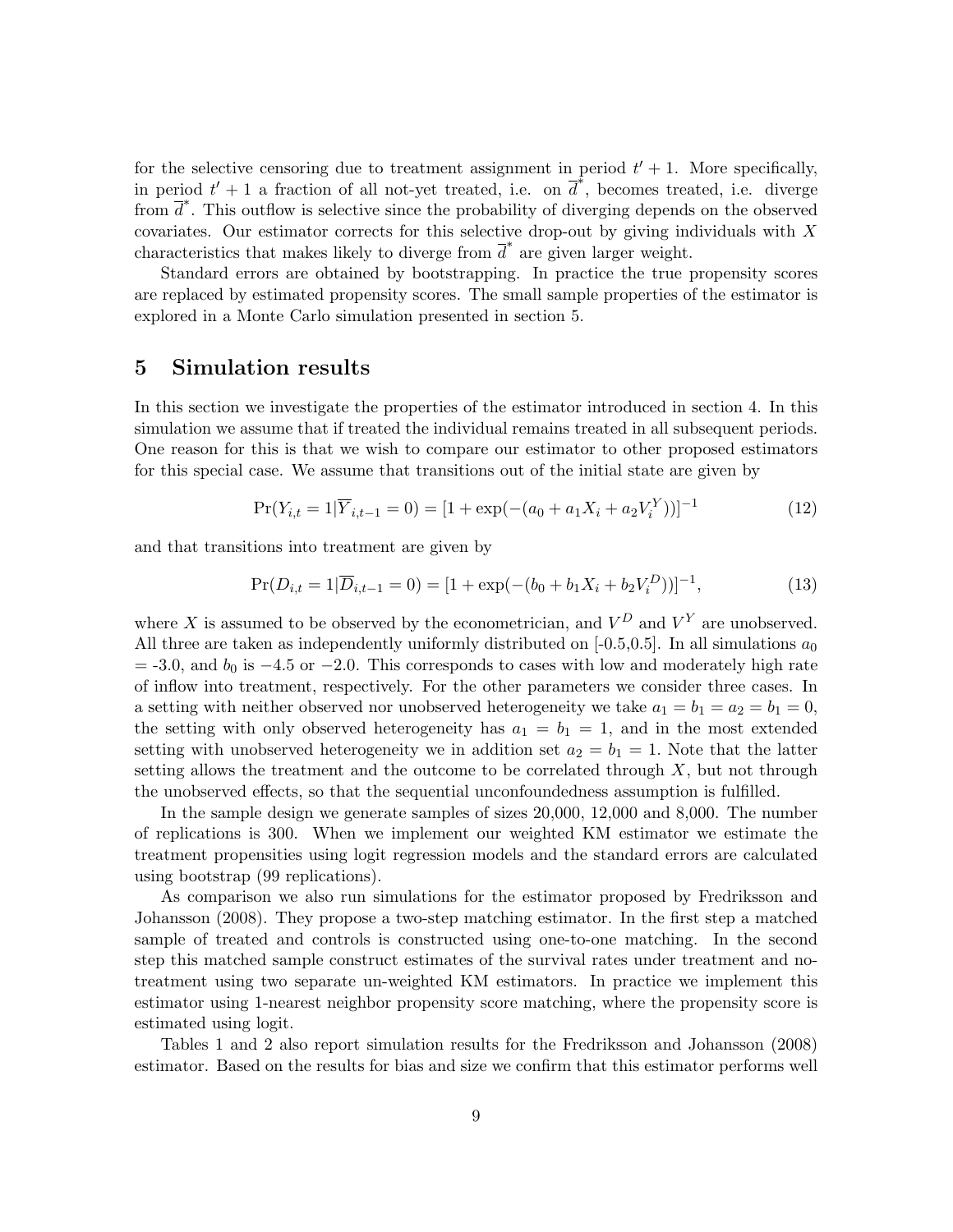for the selective censoring due to treatment assignment in period  $t' + 1$ . More specifically, in period  $t' + 1$  a fraction of all not-yet treated, i.e. on  $\overline{d}^*$ , becomes treated, i.e. diverge from  $\overline{d}^*$ . This outflow is selective since the probability of diverging depends on the observed covariates. Our estimator corrects for this selective drop-out by giving individuals with *X* characteristics that makes likely to diverge from  $\overline{d}^*$  are given larger weight.

Standard errors are obtained by bootstrapping. In practice the true propensity scores are replaced by estimated propensity scores. The small sample properties of the estimator is explored in a Monte Carlo simulation presented in section 5.

## **5 Simulation results**

In this section we investigate the properties of the estimator introduced in section 4. In this simulation we assume that if treated the individual remains treated in all subsequent periods. One reason for this is that we wish to compare our estimator to other proposed estimators for this special case. We assume that transitions out of the initial state are given by

$$
Pr(Y_{i,t} = 1 | \overline{Y}_{i,t-1} = 0) = [1 + \exp(-(a_0 + a_1 X_i + a_2 V_i^Y))]^{-1}
$$
\n(12)

and that transitions into treatment are given by

$$
Pr(D_{i,t} = 1 | \overline{D}_{i,t-1} = 0) = [1 + \exp(-(b_0 + b_1 X_i + b_2 V_i^D))]^{-1},
$$
\n(13)

where X is assumed to be observed by the econometrician, and  $V^D$  and  $V^Y$  are unobserved. All three are taken as independently uniformly distributed on  $[-0.5, 0.5]$ . In all simulations  $a_0$ = -3.0, and *b*<sup>0</sup> is *−*4*.*5 or *−*2*.*0. This corresponds to cases with low and moderately high rate of inflow into treatment, respectively. For the other parameters we consider three cases. In a setting with neither observed nor unobserved heterogeneity we take  $a_1 = b_1 = a_2 = b_1 = 0$ , the setting with only observed heterogeneity has  $a_1 = b_1 = 1$ , and in the most extended setting with unobserved heterogeneity we in addition set  $a_2 = b_1 = 1$ . Note that the latter setting allows the treatment and the outcome to be correlated through *X*, but not through the unobserved effects, so that the sequential unconfoundedness assumption is fulfilled.

In the sample design we generate samples of sizes 20,000, 12,000 and 8,000. The number of replications is 300. When we implement our weighted KM estimator we estimate the treatment propensities using logit regression models and the standard errors are calculated using bootstrap (99 replications).

As comparison we also run simulations for the estimator proposed by Fredriksson and Johansson (2008). They propose a two-step matching estimator. In the first step a matched sample of treated and controls is constructed using one-to-one matching. In the second step this matched sample construct estimates of the survival rates under treatment and notreatment using two separate un-weighted KM estimators. In practice we implement this estimator using 1-nearest neighbor propensity score matching, where the propensity score is estimated using logit.

Tables 1 and 2 also report simulation results for the Fredriksson and Johansson (2008) estimator. Based on the results for bias and size we confirm that this estimator performs well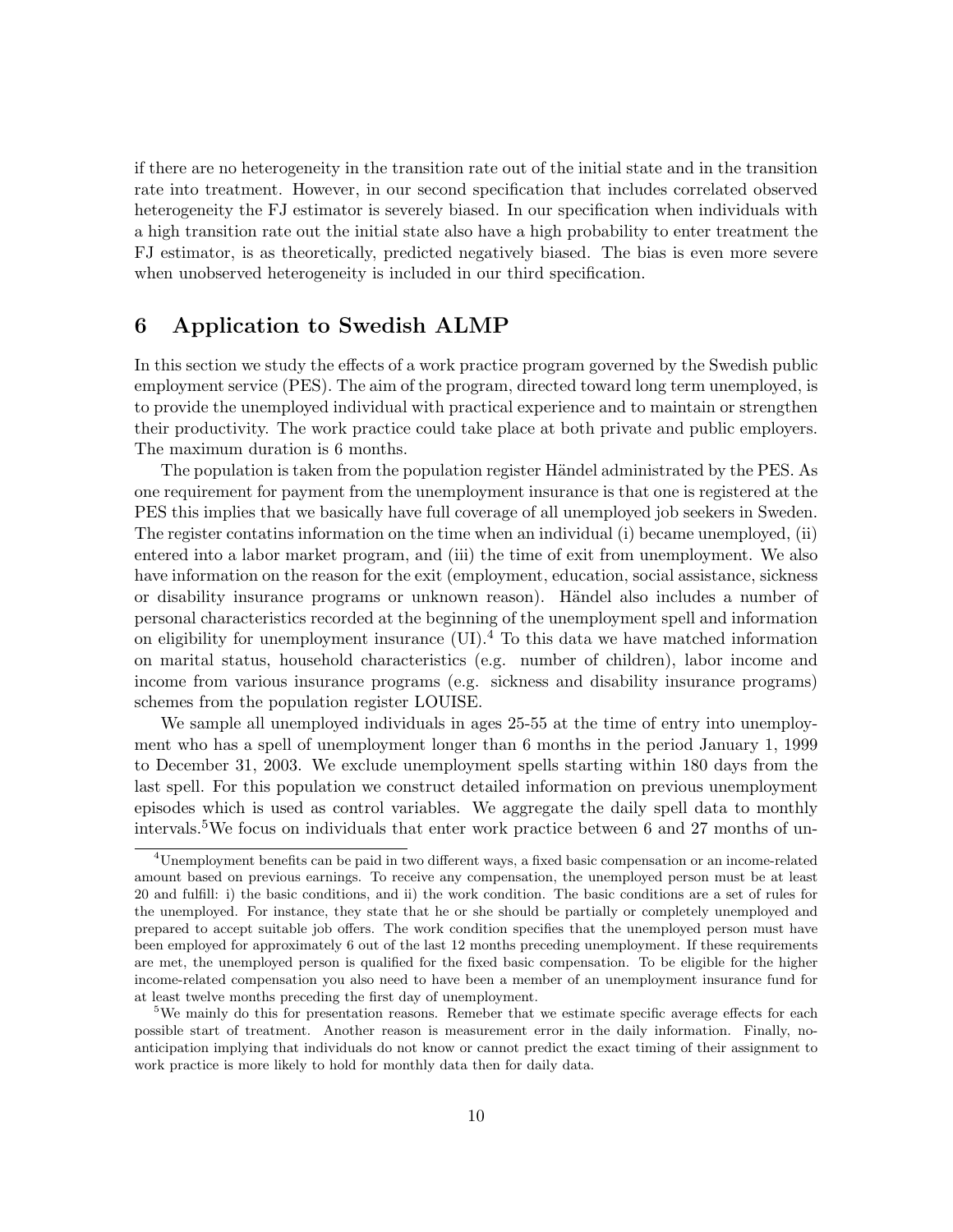if there are no heterogeneity in the transition rate out of the initial state and in the transition rate into treatment. However, in our second specification that includes correlated observed heterogeneity the FJ estimator is severely biased. In our specification when individuals with a high transition rate out the initial state also have a high probability to enter treatment the FJ estimator, is as theoretically, predicted negatively biased. The bias is even more severe when unobserved heterogeneity is included in our third specification.

## **6 Application to Swedish ALMP**

In this section we study the effects of a work practice program governed by the Swedish public employment service (PES). The aim of the program, directed toward long term unemployed, is to provide the unemployed individual with practical experience and to maintain or strengthen their productivity. The work practice could take place at both private and public employers. The maximum duration is 6 months.

The population is taken from the population register Händel administrated by the PES. As one requirement for payment from the unemployment insurance is that one is registered at the PES this implies that we basically have full coverage of all unemployed job seekers in Sweden. The register contatins information on the time when an individual (i) became unemployed, (ii) entered into a labor market program, and (iii) the time of exit from unemployment. We also have information on the reason for the exit (employment, education, social assistance, sickness or disability insurance programs or unknown reason). Händel also includes a number of personal characteristics recorded at the beginning of the unemployment spell and information on eligibility for unemployment insurance (UI).<sup>4</sup> To this data we have matched information on marital status, household characteristics (e.g. number of children), labor income and income from various insurance programs (e.g. sickness and disability insurance programs) schemes from the population register LOUISE.

We sample all unemployed individuals in ages 25-55 at the time of entry into unemployment who has a spell of unemployment longer than 6 months in the period January 1, 1999 to December 31, 2003. We exclude unemployment spells starting within 180 days from the last spell. For this population we construct detailed information on previous unemployment episodes which is used as control variables. We aggregate the daily spell data to monthly intervals.5We focus on individuals that enter work practice between 6 and 27 months of un-

<sup>4</sup>Unemployment benefits can be paid in two different ways, a fixed basic compensation or an income-related amount based on previous earnings. To receive any compensation, the unemployed person must be at least 20 and fulfill: i) the basic conditions, and ii) the work condition. The basic conditions are a set of rules for the unemployed. For instance, they state that he or she should be partially or completely unemployed and prepared to accept suitable job offers. The work condition specifies that the unemployed person must have been employed for approximately 6 out of the last 12 months preceding unemployment. If these requirements are met, the unemployed person is qualified for the fixed basic compensation. To be eligible for the higher income-related compensation you also need to have been a member of an unemployment insurance fund for at least twelve months preceding the first day of unemployment.

<sup>&</sup>lt;sup>5</sup>We mainly do this for presentation reasons. Remeber that we estimate specific average effects for each possible start of treatment. Another reason is measurement error in the daily information. Finally, noanticipation implying that individuals do not know or cannot predict the exact timing of their assignment to work practice is more likely to hold for monthly data then for daily data.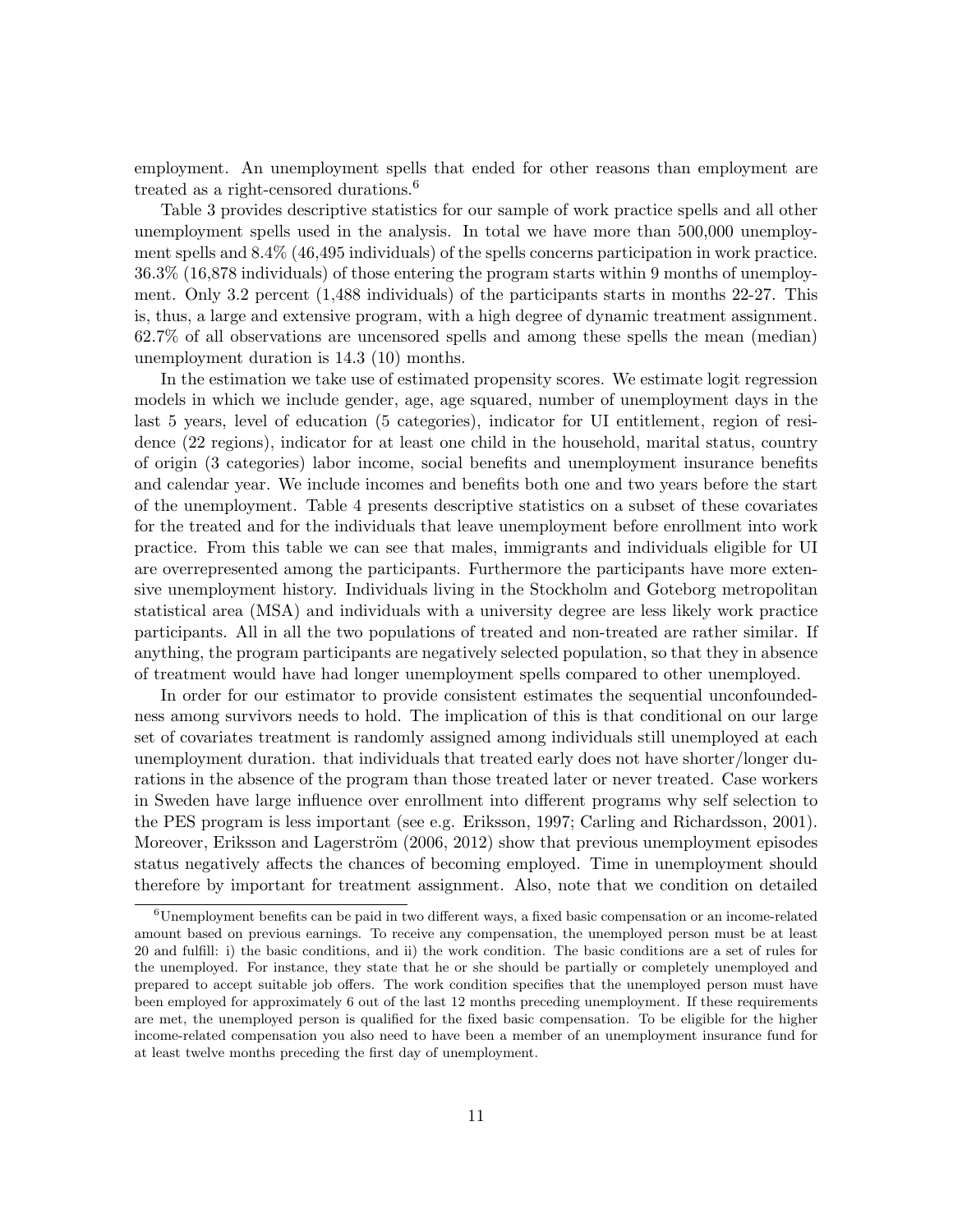employment. An unemployment spells that ended for other reasons than employment are treated as a right-censored durations.<sup>6</sup>

Table 3 provides descriptive statistics for our sample of work practice spells and all other unemployment spells used in the analysis. In total we have more than 500,000 unemployment spells and 8.4% (46,495 individuals) of the spells concerns participation in work practice. 36.3% (16,878 individuals) of those entering the program starts within 9 months of unemployment. Only 3.2 percent (1,488 individuals) of the participants starts in months 22-27. This is, thus, a large and extensive program, with a high degree of dynamic treatment assignment. 62.7% of all observations are uncensored spells and among these spells the mean (median) unemployment duration is 14.3 (10) months.

In the estimation we take use of estimated propensity scores. We estimate logit regression models in which we include gender, age, age squared, number of unemployment days in the last 5 years, level of education (5 categories), indicator for UI entitlement, region of residence (22 regions), indicator for at least one child in the household, marital status, country of origin (3 categories) labor income, social benefits and unemployment insurance benefits and calendar year. We include incomes and benefits both one and two years before the start of the unemployment. Table 4 presents descriptive statistics on a subset of these covariates for the treated and for the individuals that leave unemployment before enrollment into work practice. From this table we can see that males, immigrants and individuals eligible for UI are overrepresented among the participants. Furthermore the participants have more extensive unemployment history. Individuals living in the Stockholm and Goteborg metropolitan statistical area (MSA) and individuals with a university degree are less likely work practice participants. All in all the two populations of treated and non-treated are rather similar. If anything, the program participants are negatively selected population, so that they in absence of treatment would have had longer unemployment spells compared to other unemployed.

In order for our estimator to provide consistent estimates the sequential unconfoundedness among survivors needs to hold. The implication of this is that conditional on our large set of covariates treatment is randomly assigned among individuals still unemployed at each unemployment duration. that individuals that treated early does not have shorter/longer durations in the absence of the program than those treated later or never treated. Case workers in Sweden have large influence over enrollment into different programs why self selection to the PES program is less important (see e.g. Eriksson, 1997; Carling and Richardsson, 2001). Moreover, Eriksson and Lagerström (2006, 2012) show that previous unemployment episodes status negatively affects the chances of becoming employed. Time in unemployment should therefore by important for treatment assignment. Also, note that we condition on detailed

<sup>6</sup>Unemployment benefits can be paid in two different ways, a fixed basic compensation or an income-related amount based on previous earnings. To receive any compensation, the unemployed person must be at least 20 and fulfill: i) the basic conditions, and ii) the work condition. The basic conditions are a set of rules for the unemployed. For instance, they state that he or she should be partially or completely unemployed and prepared to accept suitable job offers. The work condition specifies that the unemployed person must have been employed for approximately 6 out of the last 12 months preceding unemployment. If these requirements are met, the unemployed person is qualified for the fixed basic compensation. To be eligible for the higher income-related compensation you also need to have been a member of an unemployment insurance fund for at least twelve months preceding the first day of unemployment.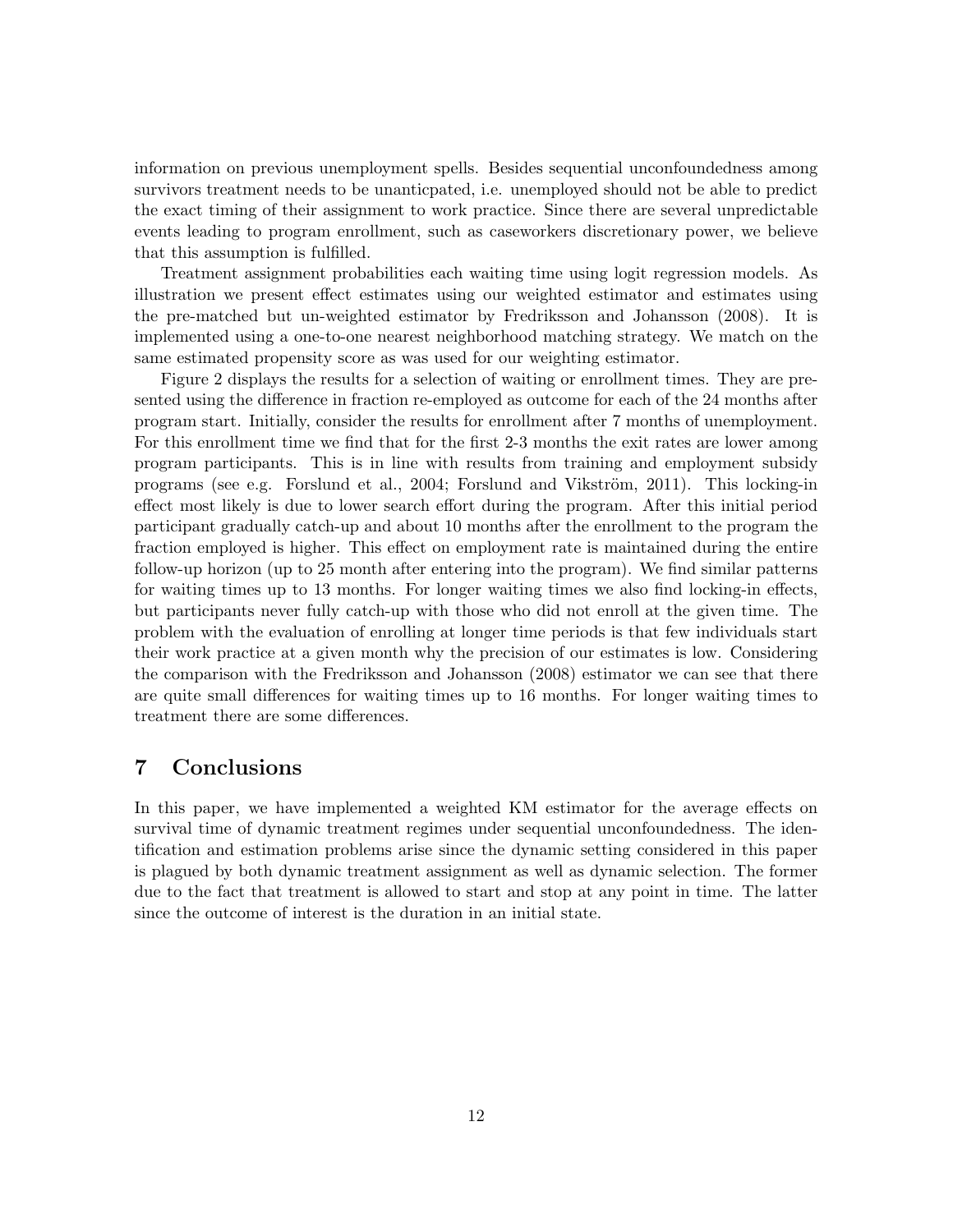information on previous unemployment spells. Besides sequential unconfoundedness among survivors treatment needs to be unanticpated, i.e. unemployed should not be able to predict the exact timing of their assignment to work practice. Since there are several unpredictable events leading to program enrollment, such as caseworkers discretionary power, we believe that this assumption is fulfilled.

Treatment assignment probabilities each waiting time using logit regression models. As illustration we present effect estimates using our weighted estimator and estimates using the pre-matched but un-weighted estimator by Fredriksson and Johansson (2008). It is implemented using a one-to-one nearest neighborhood matching strategy. We match on the same estimated propensity score as was used for our weighting estimator.

Figure 2 displays the results for a selection of waiting or enrollment times. They are presented using the difference in fraction re-employed as outcome for each of the 24 months after program start. Initially, consider the results for enrollment after 7 months of unemployment. For this enrollment time we find that for the first 2-3 months the exit rates are lower among program participants. This is in line with results from training and employment subsidy programs (see e.g. Forslund et al., 2004; Forslund and Vikström, 2011). This locking-in effect most likely is due to lower search effort during the program. After this initial period participant gradually catch-up and about 10 months after the enrollment to the program the fraction employed is higher. This effect on employment rate is maintained during the entire follow-up horizon (up to 25 month after entering into the program). We find similar patterns for waiting times up to 13 months. For longer waiting times we also find locking-in effects, but participants never fully catch-up with those who did not enroll at the given time. The problem with the evaluation of enrolling at longer time periods is that few individuals start their work practice at a given month why the precision of our estimates is low. Considering the comparison with the Fredriksson and Johansson (2008) estimator we can see that there are quite small differences for waiting times up to 16 months. For longer waiting times to treatment there are some differences.

## **7 Conclusions**

In this paper, we have implemented a weighted KM estimator for the average effects on survival time of dynamic treatment regimes under sequential unconfoundedness. The identification and estimation problems arise since the dynamic setting considered in this paper is plagued by both dynamic treatment assignment as well as dynamic selection. The former due to the fact that treatment is allowed to start and stop at any point in time. The latter since the outcome of interest is the duration in an initial state.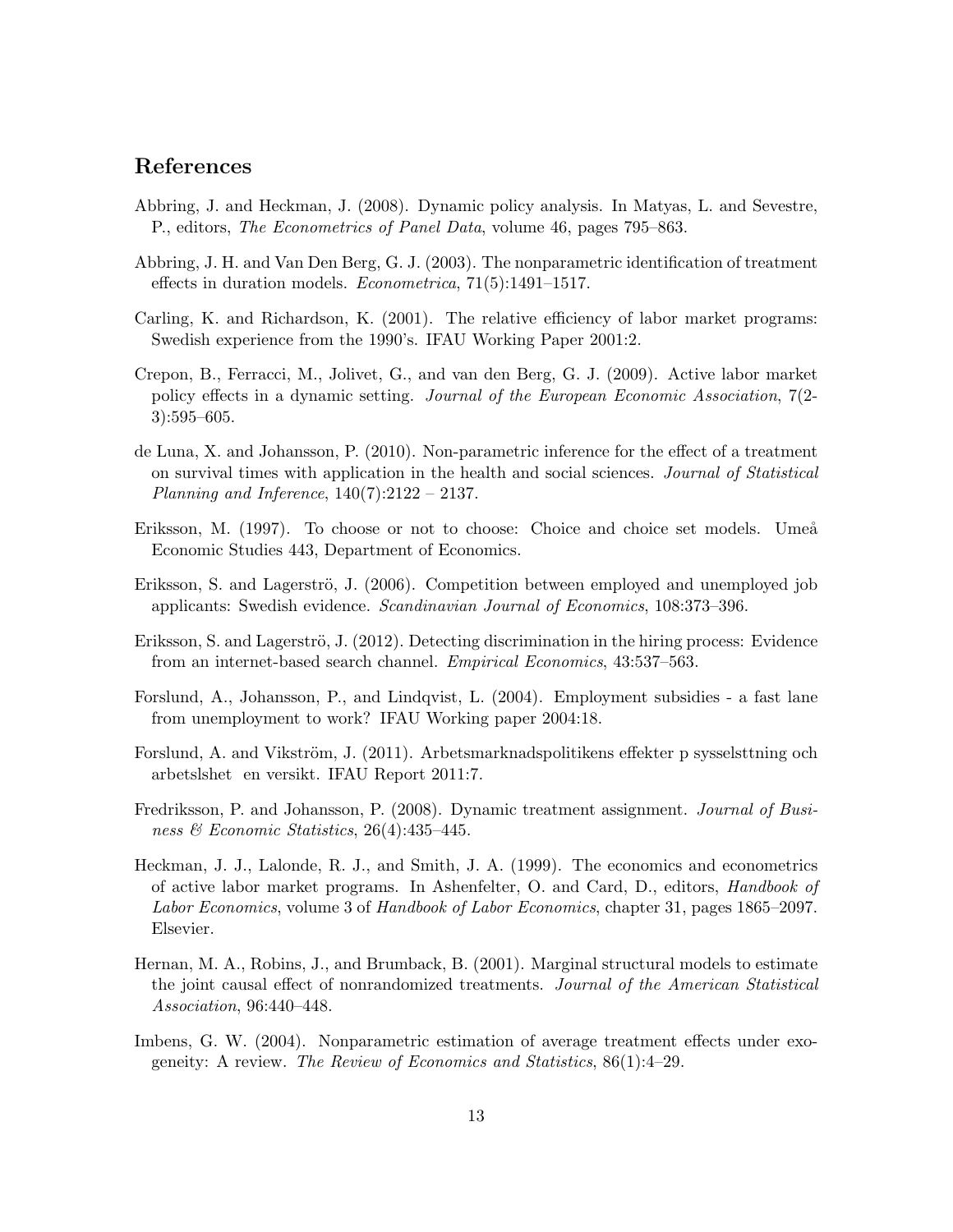## **References**

- Abbring, J. and Heckman, J. (2008). Dynamic policy analysis. In Matyas, L. and Sevestre, P., editors, *The Econometrics of Panel Data*, volume 46, pages 795–863.
- Abbring, J. H. and Van Den Berg, G. J. (2003). The nonparametric identification of treatment effects in duration models. *Econometrica*, 71(5):1491–1517.
- Carling, K. and Richardson, K. (2001). The relative efficiency of labor market programs: Swedish experience from the 1990's. IFAU Working Paper 2001:2.
- Crepon, B., Ferracci, M., Jolivet, G., and van den Berg, G. J. (2009). Active labor market policy effects in a dynamic setting. *Journal of the European Economic Association*, 7(2- 3):595–605.
- de Luna, X. and Johansson, P. (2010). Non-parametric inference for the effect of a treatment on survival times with application in the health and social sciences. *Journal of Statistical Planning and Inference*, 140(7):2122 – 2137.
- Eriksson, M. (1997). To choose or not to choose: Choice and choice set models. Umeå Economic Studies 443, Department of Economics.
- Eriksson, S. and Lagerströ, J. (2006). Competition between employed and unemployed job applicants: Swedish evidence. *Scandinavian Journal of Economics*, 108:373–396.
- Eriksson, S. and Lagerströ, J. (2012). Detecting discrimination in the hiring process: Evidence from an internet-based search channel. *Empirical Economics*, 43:537–563.
- Forslund, A., Johansson, P., and Lindqvist, L. (2004). Employment subsidies a fast lane from unemployment to work? IFAU Working paper 2004:18.
- Forslund, A. and Vikström, J. (2011). Arbetsmarknadspolitikens effekter p sysselsttning och arbetslshet en versikt. IFAU Report 2011:7.
- Fredriksson, P. and Johansson, P. (2008). Dynamic treatment assignment. *Journal of Business & Economic Statistics*, 26(4):435–445.
- Heckman, J. J., Lalonde, R. J., and Smith, J. A. (1999). The economics and econometrics of active labor market programs. In Ashenfelter, O. and Card, D., editors, *Handbook of Labor Economics*, volume 3 of *Handbook of Labor Economics*, chapter 31, pages 1865–2097. Elsevier.
- Hernan, M. A., Robins, J., and Brumback, B. (2001). Marginal structural models to estimate the joint causal effect of nonrandomized treatments. *Journal of the American Statistical Association*, 96:440–448.
- Imbens, G. W. (2004). Nonparametric estimation of average treatment effects under exogeneity: A review. *The Review of Economics and Statistics*, 86(1):4–29.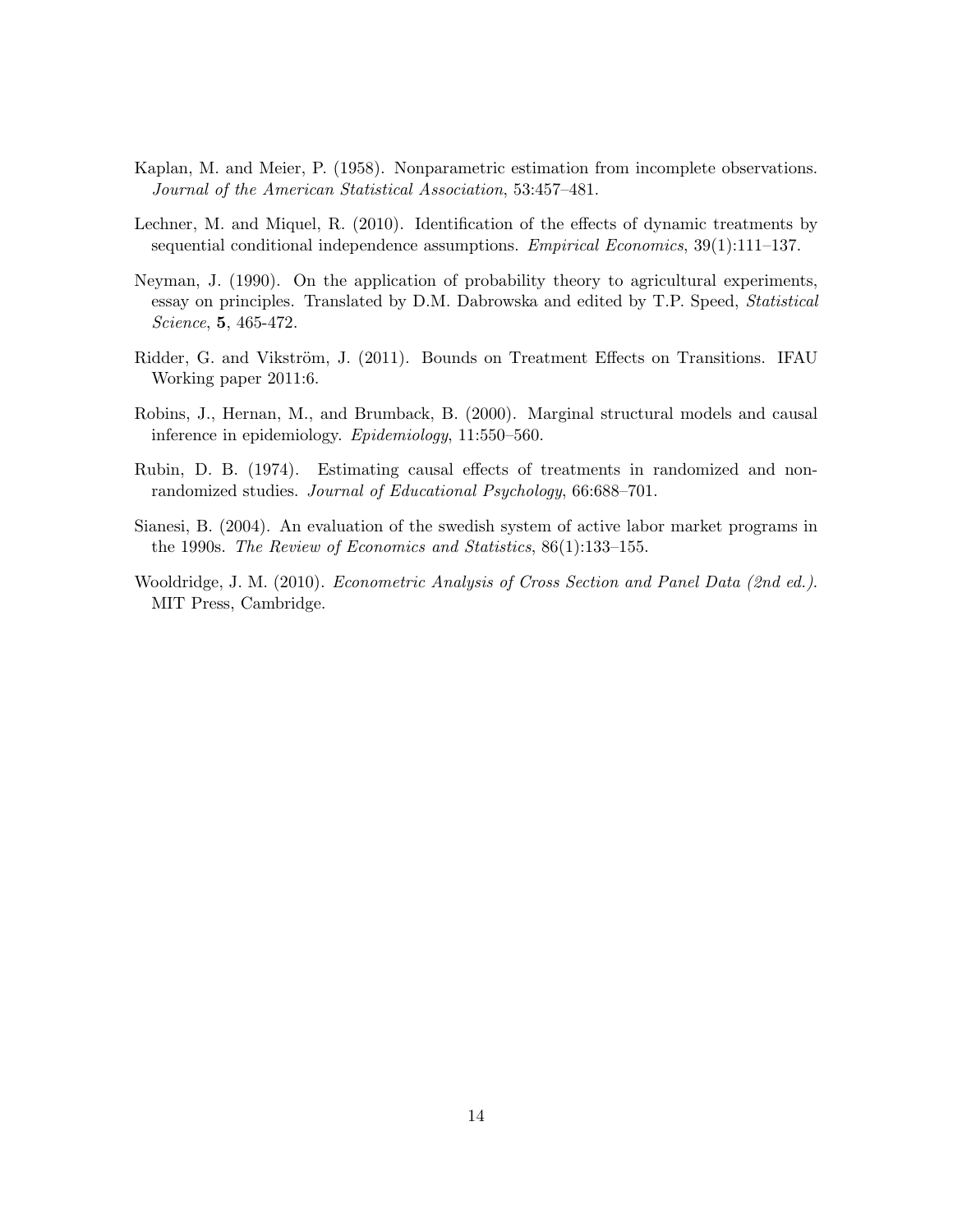- Kaplan, M. and Meier, P. (1958). Nonparametric estimation from incomplete observations. *Journal of the American Statistical Association*, 53:457–481.
- Lechner, M. and Miquel, R. (2010). Identification of the effects of dynamic treatments by sequential conditional independence assumptions. *Empirical Economics*, 39(1):111–137.
- Neyman, J. (1990). On the application of probability theory to agricultural experiments, essay on principles. Translated by D.M. Dabrowska and edited by T.P. Speed, *Statistical Science*, **5**, 465-472.
- Ridder, G. and Vikström, J. (2011). Bounds on Treatment Effects on Transitions. IFAU Working paper 2011:6.
- Robins, J., Hernan, M., and Brumback, B. (2000). Marginal structural models and causal inference in epidemiology. *Epidemiology*, 11:550–560.
- Rubin, D. B. (1974). Estimating causal effects of treatments in randomized and nonrandomized studies. *Journal of Educational Psychology*, 66:688–701.
- Sianesi, B. (2004). An evaluation of the swedish system of active labor market programs in the 1990s. *The Review of Economics and Statistics*, 86(1):133–155.
- Wooldridge, J. M. (2010). *Econometric Analysis of Cross Section and Panel Data (2nd ed.)*. MIT Press, Cambridge.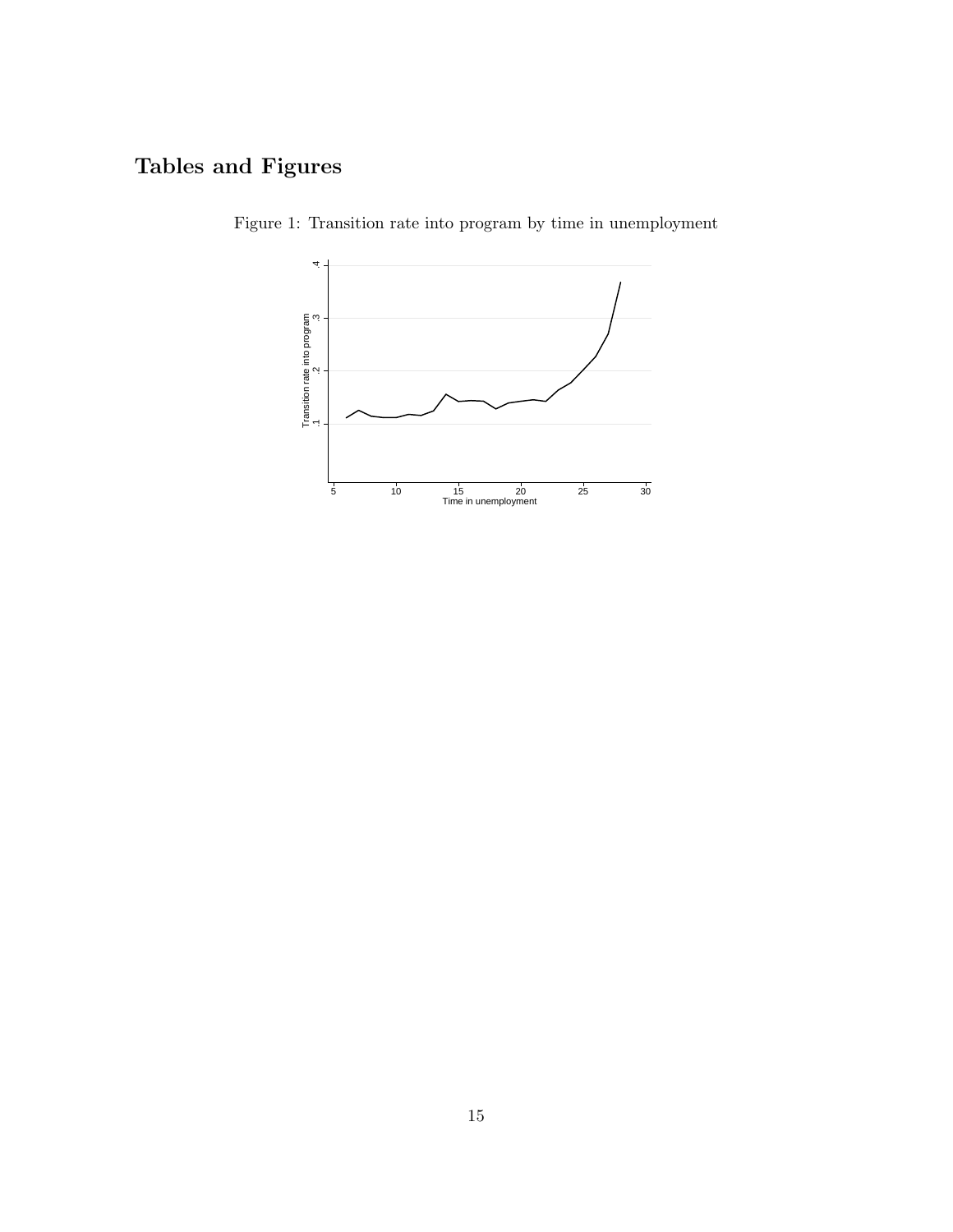# **Tables and Figures**



Figure 1: Transition rate into program by time in unemployment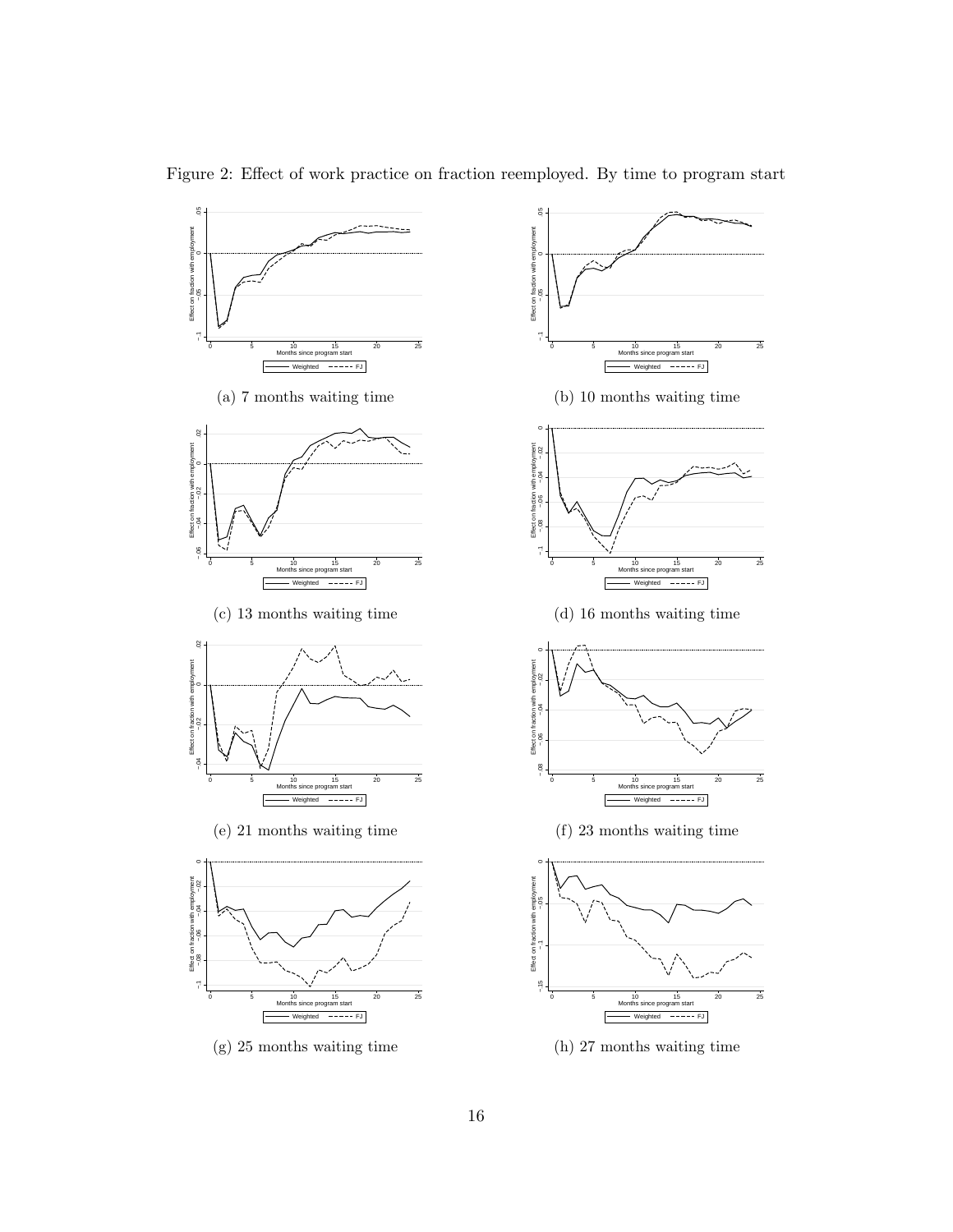

Figure 2: Effect of work practice on fraction reemployed. By time to program start



0 5 10 15 20 25 Months since program start Weighted FJ

E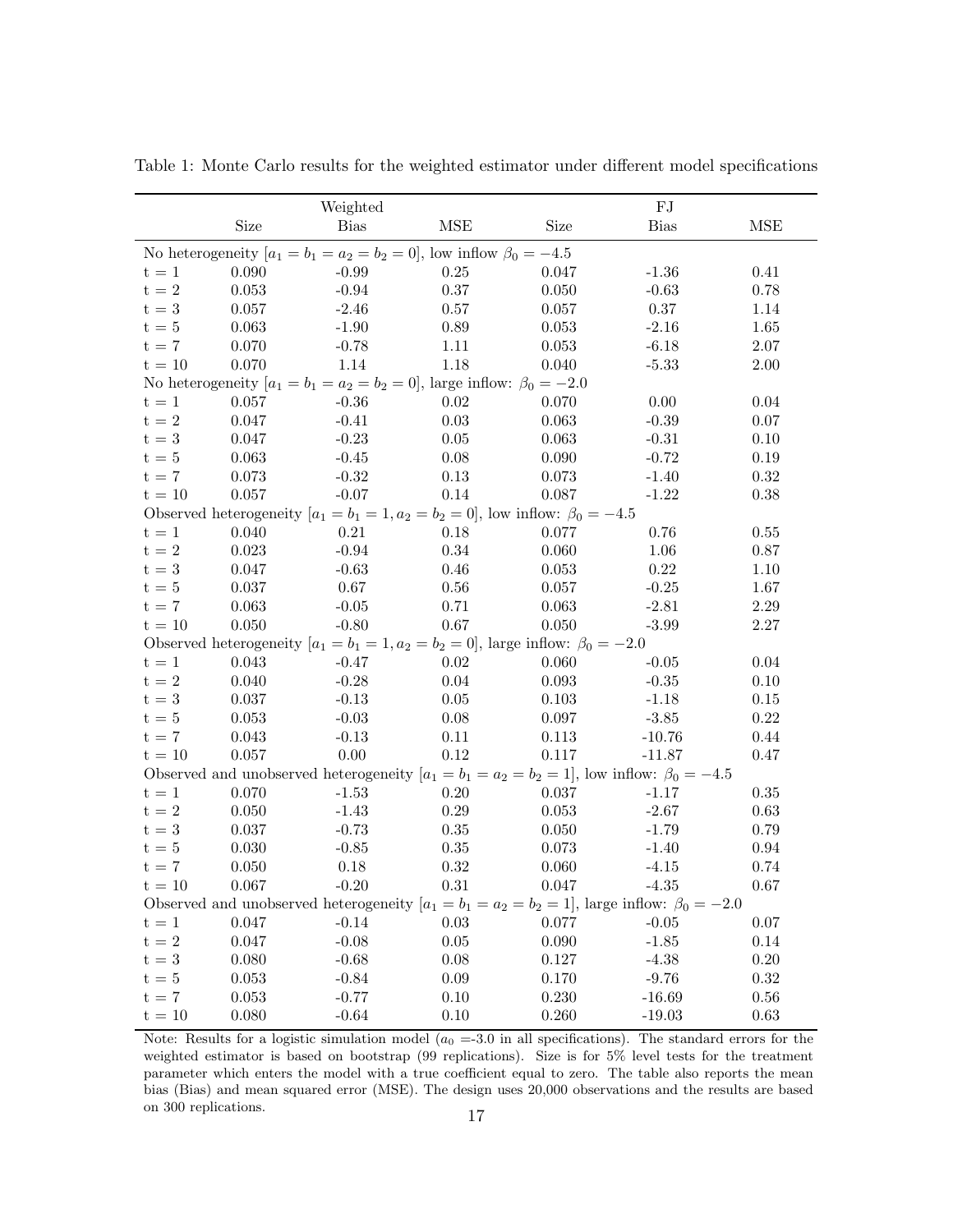|                                                                                                      |           | Weighted                                                                                           |            |       | FJ          |            |
|------------------------------------------------------------------------------------------------------|-----------|----------------------------------------------------------------------------------------------------|------------|-------|-------------|------------|
|                                                                                                      | Size      | <b>Bias</b>                                                                                        | <b>MSE</b> | Size  | <b>Bias</b> | <b>MSE</b> |
|                                                                                                      |           | No heterogeneity $[a_1 = b_1 = a_2 = b_2 = 0]$ , low inflow $\beta_0 = -4.5$                       |            |       |             |            |
| $t = 1$                                                                                              | 0.090     | $-0.99$                                                                                            | 0.25       | 0.047 | $-1.36$     | 0.41       |
| $t = 2$                                                                                              | 0.053     | $-0.94$                                                                                            | $0.37\,$   | 0.050 | $-0.63$     | 0.78       |
| $t = 3$                                                                                              | 0.057     | $-2.46$                                                                                            | $0.57\,$   | 0.057 | 0.37        | 1.14       |
| $t = 5$                                                                                              | 0.063     | $-1.90$                                                                                            | $0.89\,$   | 0.053 | $-2.16$     | 1.65       |
| $t = 7$                                                                                              | 0.070     | $-0.78$                                                                                            | 1.11       | 0.053 | $-6.18$     | 2.07       |
| $t = 10$                                                                                             | 0.070     | 1.14                                                                                               | 1.18       | 0.040 | $-5.33$     | 2.00       |
|                                                                                                      |           | No heterogeneity $[a_1 = b_1 = a_2 = b_2 = 0]$ , large inflow: $\beta_0 = -2.0$                    |            |       |             |            |
| $t = 1$                                                                                              | 0.057     | $-0.36$                                                                                            | 0.02       | 0.070 | 0.00        | 0.04       |
| $t = 2$                                                                                              | 0.047     | $-0.41$                                                                                            | $0.03\,$   | 0.063 | $-0.39$     | 0.07       |
| $t = 3$                                                                                              | 0.047     | $-0.23$                                                                                            | $0.05\,$   | 0.063 | $-0.31$     | 0.10       |
| $t = 5$                                                                                              | 0.063     | $-0.45$                                                                                            | $0.08\,$   | 0.090 | $-0.72$     | 0.19       |
| $t = 7$                                                                                              | 0.073     | $-0.32$                                                                                            | $0.13\,$   | 0.073 | $-1.40$     | 0.32       |
| $t = 10$                                                                                             | 0.057     | $-0.07$                                                                                            | 0.14       | 0.087 | $-1.22$     | 0.38       |
|                                                                                                      |           | Observed heterogeneity $[a_1 = b_1 = 1, a_2 = b_2 = 0]$ , low inflow: $\beta_0 = -4.5$             |            |       |             |            |
| $t = 1$                                                                                              | 0.040     | 0.21                                                                                               | 0.18       | 0.077 | 0.76        | $0.55\,$   |
| $t = 2$                                                                                              | 0.023     | $-0.94$                                                                                            | $0.34\,$   | 0.060 | 1.06        | $0.87\,$   |
| $t = 3$                                                                                              | 0.047     | $-0.63$                                                                                            | $0.46\,$   | 0.053 | $0.22\,$    | 1.10       |
| $t = 5$                                                                                              | 0.037     | 0.67                                                                                               | $0.56\,$   | 0.057 | $-0.25$     | 1.67       |
| $t = 7$                                                                                              | 0.063     | $-0.05$                                                                                            | 0.71       | 0.063 | $-2.81$     | $2.29\,$   |
| $t = 10$                                                                                             | 0.050     | $-0.80$                                                                                            | $0.67\,$   | 0.050 | $-3.99$     | 2.27       |
|                                                                                                      |           | Observed heterogeneity $[a_1 = b_1 = 1, a_2 = b_2 = 0]$ , large inflow: $\beta_0 = -2.0$           |            |       |             |            |
| $t = 1$                                                                                              | 0.043     | $-0.47$                                                                                            | $0.02\,$   | 0.060 | $-0.05$     | 0.04       |
| $t = 2$                                                                                              | 0.040     | $-0.28$                                                                                            | 0.04       | 0.093 | $-0.35$     | 0.10       |
| $t = 3$                                                                                              | 0.037     | $-0.13$                                                                                            | 0.05       | 0.103 | $-1.18$     | 0.15       |
| $t = 5$                                                                                              | 0.053     | $-0.03$                                                                                            | $0.08\,$   | 0.097 | $-3.85$     | $0.22\,$   |
| $t = 7$                                                                                              | 0.043     | $-0.13$                                                                                            | 0.11       | 0.113 | $-10.76$    | 0.44       |
| $t = 10$                                                                                             | 0.057     | 0.00                                                                                               | $0.12\,$   | 0.117 | $-11.87$    | 0.47       |
|                                                                                                      |           | Observed and unobserved heterogeneity $[a_1 = b_1 = a_2 = b_2 = 1]$ , low inflow: $\beta_0 = -4.5$ |            |       |             |            |
| $t = 1$                                                                                              | 0.070     | $-1.53$                                                                                            | 0.20       | 0.037 | $-1.17$     | 0.35       |
| $t = 2$                                                                                              | 0.050     | $-1.43$                                                                                            | $0.29\,$   | 0.053 | $-2.67$     | 0.63       |
| $t = 3$                                                                                              | $0.037\,$ | $-0.73$                                                                                            | $0.35\,$   | 0.050 | $-1.79$     | 0.79       |
| $t=5$                                                                                                | $0.030\,$ | $-0.85$                                                                                            | $0.35\,$   | 0.073 | $-1.40$     | $0.94\,$   |
| $t = 7$                                                                                              | 0.050     | 0.18                                                                                               | $0.32\,$   | 0.060 | $-4.15$     | 0.74       |
| $\mathrm{t}$ = $10$                                                                                  | 0.067     | $-0.20$                                                                                            | 0.31       | 0.047 | $-4.35$     | 0.67       |
| Observed and unobserved heterogeneity $[a_1 = b_1 = a_2 = b_2 = 1]$ , large inflow: $\beta_0 = -2.0$ |           |                                                                                                    |            |       |             |            |
| $t = 1$                                                                                              | 0.047     | $-0.14$                                                                                            | 0.03       | 0.077 | $-0.05$     | $0.07\,$   |
| $t = 2$                                                                                              | 0.047     | $-0.08$                                                                                            | $0.05\,$   | 0.090 | $-1.85$     | 0.14       |
| $t = 3$                                                                                              | 0.080     | $-0.68$                                                                                            | $0.08\,$   | 0.127 | $-4.38$     | 0.20       |
| $t = 5$                                                                                              | 0.053     | $-0.84$                                                                                            | $0.09\,$   | 0.170 | $-9.76$     | 0.32       |
| $t = 7$                                                                                              | 0.053     | $-0.77$                                                                                            | 0.10       | 0.230 | $-16.69$    | 0.56       |
| $t = 10$                                                                                             | $0.080\,$ | $-0.64$                                                                                            | 0.10       | 0.260 | $-19.03$    | 0.63       |

Table 1: Monte Carlo results for the weighted estimator under different model specifications

Note: Results for a logistic simulation model  $(a_0 = 3.0$  in all specifications). The standard errors for the weighted estimator is based on bootstrap (99 replications). Size is for 5% level tests for the treatment parameter which enters the model with a true coefficient equal to zero. The table also reports the mean bias (Bias) and mean squared error (MSE). The design uses 20,000 observations and the results are based on 300 replications. <sup>17</sup>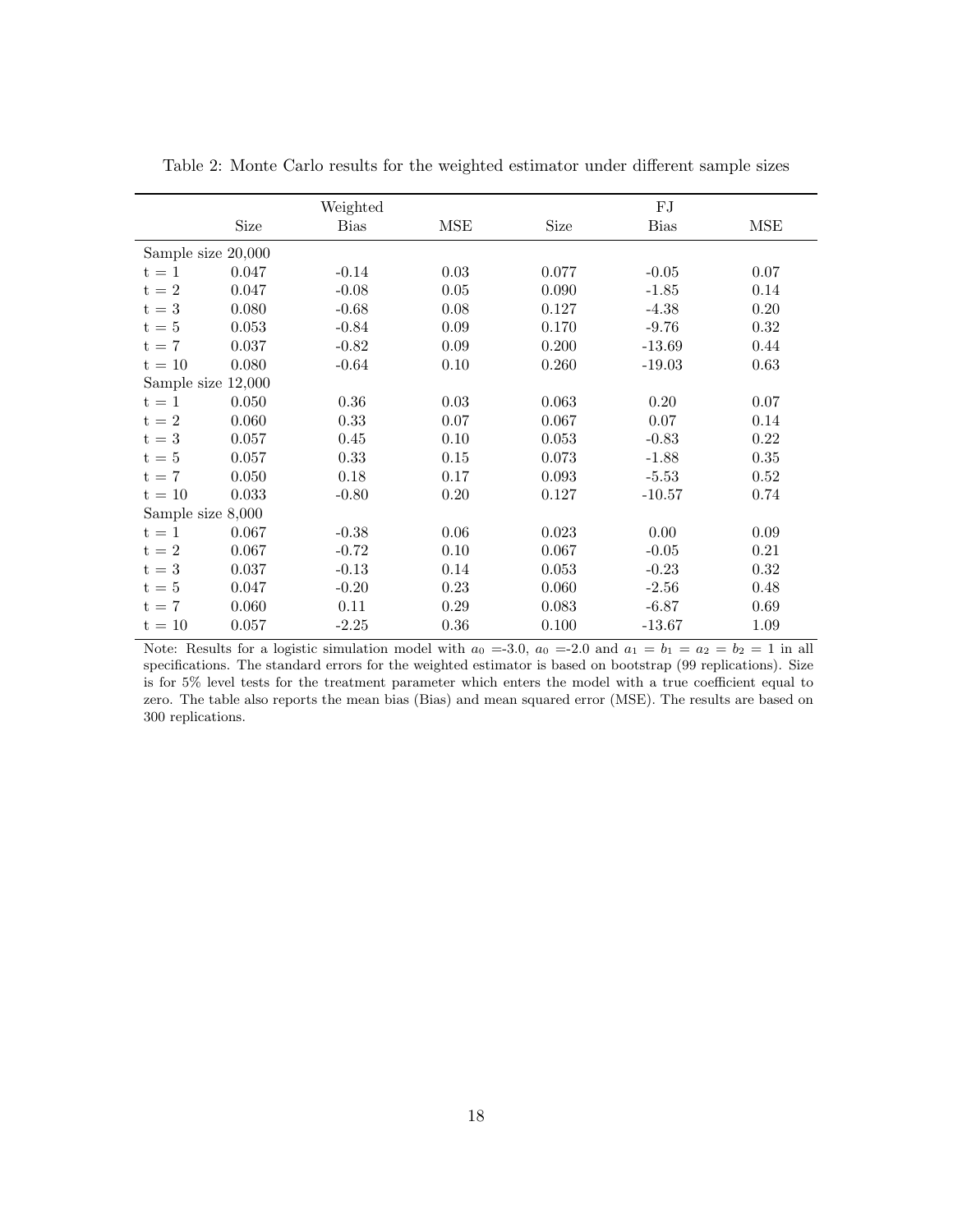|                    | Weighted |             |            | ${\rm FJ}$ |             |            |
|--------------------|----------|-------------|------------|------------|-------------|------------|
|                    | Size     | <b>Bias</b> | <b>MSE</b> | Size       | <b>Bias</b> | MSE        |
| Sample size 20,000 |          |             |            |            |             |            |
| $t = 1$            | 0.047    | $-0.14$     | $\,0.03\,$ | 0.077      | $-0.05$     | 0.07       |
| $t = 2$            | 0.047    | $-0.08$     | $0.05\,$   | 0.090      | $-1.85$     | 0.14       |
| $t = 3$            | 0.080    | $-0.68$     | 0.08       | 0.127      | $-4.38$     | 0.20       |
| $t=5$              | 0.053    | $-0.84$     | 0.09       | 0.170      | $-9.76$     | 0.32       |
| $t = 7$            | 0.037    | $-0.82$     | 0.09       | 0.200      | $-13.69$    | 0.44       |
| $t = 10$           | 0.080    | $-0.64$     | 0.10       | 0.260      | $-19.03$    | 0.63       |
| Sample size 12,000 |          |             |            |            |             |            |
| $t = 1$            | 0.050    | $0.36\,$    | $\,0.03\,$ | 0.063      | 0.20        | 0.07       |
| $t = 2$            | 0.060    | 0.33        | 0.07       | 0.067      | 0.07        | 0.14       |
| $t = 3$            | 0.057    | 0.45        | 0.10       | 0.053      | $-0.83$     | $\rm 0.22$ |
| $t=5$              | 0.057    | 0.33        | 0.15       | 0.073      | $-1.88$     | $0.35\,$   |
| $t = 7$            | 0.050    | 0.18        | 0.17       | 0.093      | $-5.53$     | 0.52       |
| $t = 10$           | 0.033    | $-0.80$     | $0.20\,$   | 0.127      | $-10.57$    | 0.74       |
| Sample size 8,000  |          |             |            |            |             |            |
| $t = 1$            | 0.067    | $-0.38$     | 0.06       | 0.023      | 0.00        | 0.09       |
| $t = 2$            | 0.067    | $-0.72$     | 0.10       | 0.067      | $-0.05$     | 0.21       |
| $t = 3$            | 0.037    | $-0.13$     | 0.14       | 0.053      | $-0.23$     | 0.32       |
| $t=5$              | 0.047    | $-0.20$     | 0.23       | 0.060      | $-2.56$     | 0.48       |
| $t = 7$            | 0.060    | 0.11        | 0.29       | 0.083      | $-6.87$     | 0.69       |
| $t = 10$           | 0.057    | $-2.25$     | $0.36\,$   | 0.100      | $-13.67$    | 1.09       |

Table 2: Monte Carlo results for the weighted estimator under different sample sizes

Note: Results for a logistic simulation model with  $a_0 = -3.0$ ,  $a_0 = -2.0$  and  $a_1 = b_1 = a_2 = b_2 = 1$  in all specifications. The standard errors for the weighted estimator is based on bootstrap (99 replications). Size is for 5% level tests for the treatment parameter which enters the model with a true coefficient equal to zero. The table also reports the mean bias (Bias) and mean squared error (MSE). The results are based on 300 replications.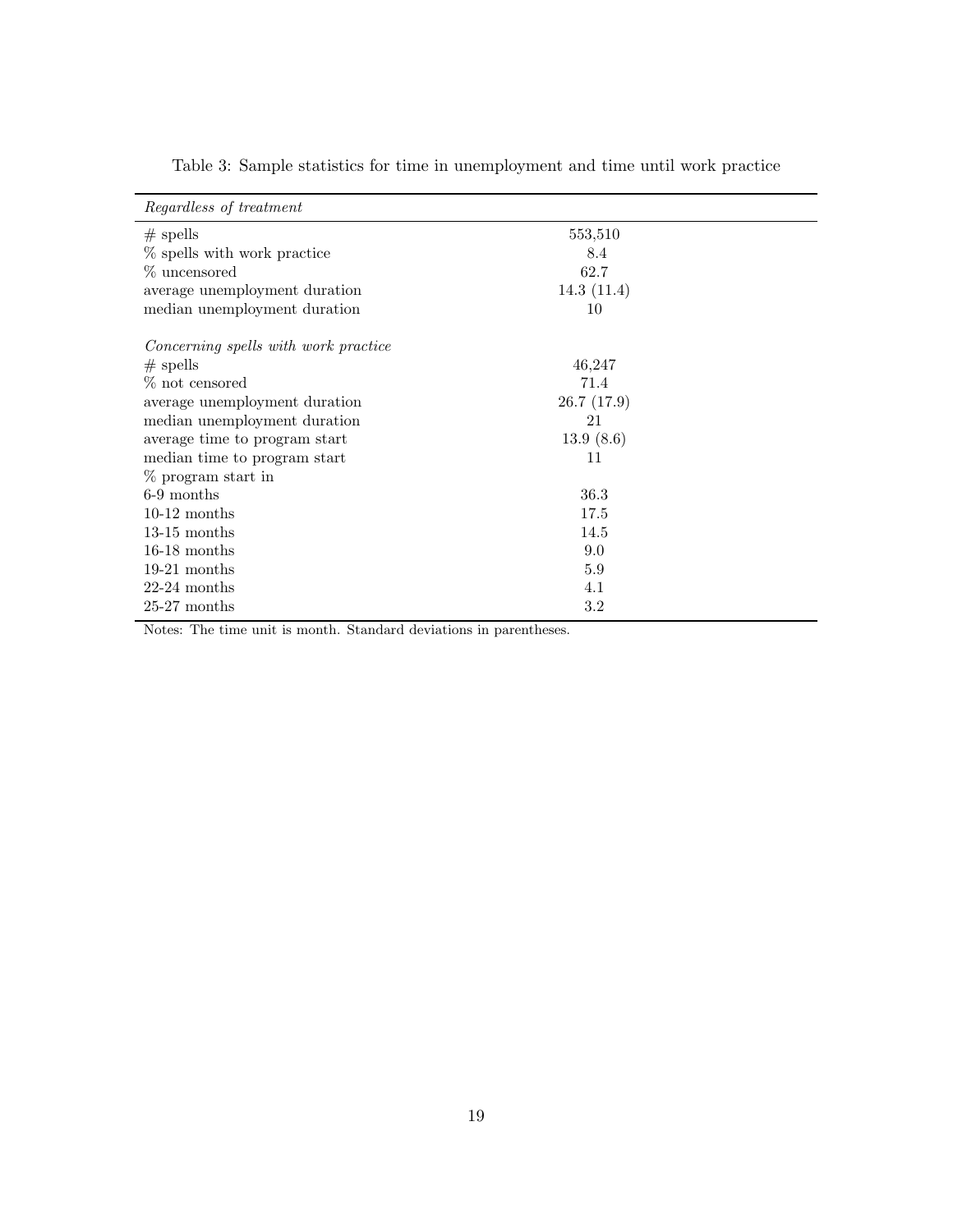| 553,510<br>$#$ spells<br>% spells with work practice<br>8.4<br>% uncensored<br>62.7<br>14.3(11.4)<br>average unemployment duration<br>median unemployment duration<br>10<br>Concerning spells with work practice<br>46,247<br>$#$ spells<br>% not censored<br>71.4<br>26.7(17.9)<br>average unemployment duration<br>median unemployment duration<br>21<br>13.9(8.6)<br>average time to program start<br>median time to program start<br>11<br>% program start in<br>6-9 months<br>36.3<br>$10-12$ months<br>17.5<br>14.5<br>$13-15$ months<br>$16-18$ months<br>9.0<br>$19-21$ months<br>5.9<br>$22-24$ months<br>4.1<br>$25-27$ months<br>$3.2\,$ | Regardless of treatment |  |
|-----------------------------------------------------------------------------------------------------------------------------------------------------------------------------------------------------------------------------------------------------------------------------------------------------------------------------------------------------------------------------------------------------------------------------------------------------------------------------------------------------------------------------------------------------------------------------------------------------------------------------------------------------|-------------------------|--|
|                                                                                                                                                                                                                                                                                                                                                                                                                                                                                                                                                                                                                                                     |                         |  |
|                                                                                                                                                                                                                                                                                                                                                                                                                                                                                                                                                                                                                                                     |                         |  |
|                                                                                                                                                                                                                                                                                                                                                                                                                                                                                                                                                                                                                                                     |                         |  |
|                                                                                                                                                                                                                                                                                                                                                                                                                                                                                                                                                                                                                                                     |                         |  |
|                                                                                                                                                                                                                                                                                                                                                                                                                                                                                                                                                                                                                                                     |                         |  |
|                                                                                                                                                                                                                                                                                                                                                                                                                                                                                                                                                                                                                                                     |                         |  |
|                                                                                                                                                                                                                                                                                                                                                                                                                                                                                                                                                                                                                                                     |                         |  |
|                                                                                                                                                                                                                                                                                                                                                                                                                                                                                                                                                                                                                                                     |                         |  |
|                                                                                                                                                                                                                                                                                                                                                                                                                                                                                                                                                                                                                                                     |                         |  |
|                                                                                                                                                                                                                                                                                                                                                                                                                                                                                                                                                                                                                                                     |                         |  |
|                                                                                                                                                                                                                                                                                                                                                                                                                                                                                                                                                                                                                                                     |                         |  |
|                                                                                                                                                                                                                                                                                                                                                                                                                                                                                                                                                                                                                                                     |                         |  |
|                                                                                                                                                                                                                                                                                                                                                                                                                                                                                                                                                                                                                                                     |                         |  |
|                                                                                                                                                                                                                                                                                                                                                                                                                                                                                                                                                                                                                                                     |                         |  |
|                                                                                                                                                                                                                                                                                                                                                                                                                                                                                                                                                                                                                                                     |                         |  |
|                                                                                                                                                                                                                                                                                                                                                                                                                                                                                                                                                                                                                                                     |                         |  |
|                                                                                                                                                                                                                                                                                                                                                                                                                                                                                                                                                                                                                                                     |                         |  |
|                                                                                                                                                                                                                                                                                                                                                                                                                                                                                                                                                                                                                                                     |                         |  |
|                                                                                                                                                                                                                                                                                                                                                                                                                                                                                                                                                                                                                                                     |                         |  |
|                                                                                                                                                                                                                                                                                                                                                                                                                                                                                                                                                                                                                                                     |                         |  |

Table 3: Sample statistics for time in unemployment and time until work practice

Notes: The time unit is month. Standard deviations in parentheses.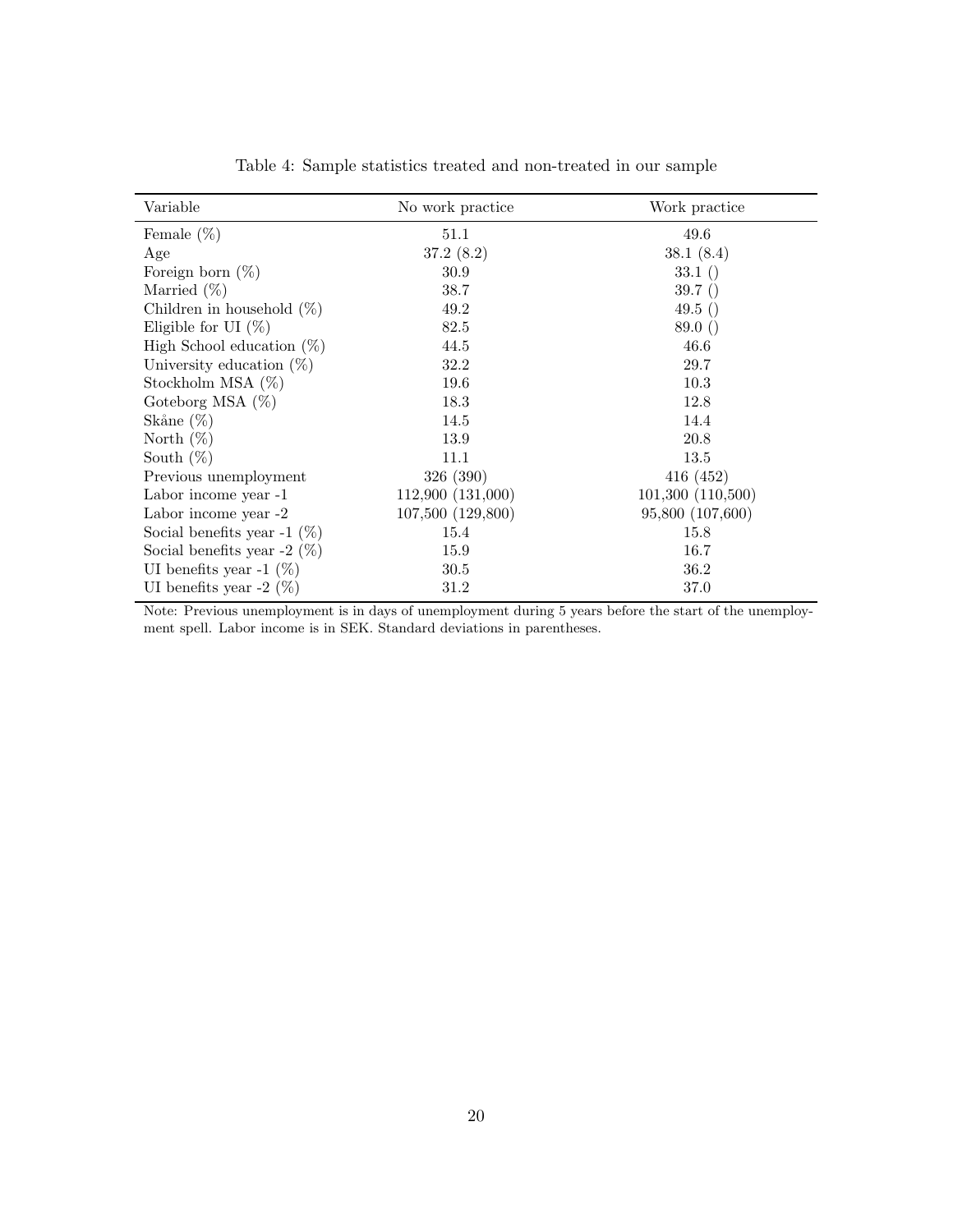| Variable                       | No work practice  | Work practice    |
|--------------------------------|-------------------|------------------|
| Female $(\%)$                  | 51.1              | 49.6             |
| Age                            | 37.2(8.2)         | 38.1(8.4)        |
| Foreign born $(\%)$            | 30.9              | 33.1()           |
| Married $(\%)$                 | 38.7              | 39.7()           |
| Children in household $(\%)$   | 49.2              | 49.5()           |
| Eligible for UI $(\%)$         | 82.5              | 89.0()           |
| High School education $(\%)$   | 44.5              | 46.6             |
| University education $(\%)$    | 32.2              | 29.7             |
| Stockholm MSA $(\%)$           | 19.6              | 10.3             |
| Goteborg MSA $(\%)$            | 18.3              | 12.8             |
| Skåne $(\%)$                   | 14.5              | 14.4             |
| North $(\%)$                   | 13.9              | 20.8             |
| South $(\%)$                   | 11.1              | 13.5             |
| Previous unemployment          | 326 (390)         | 416(452)         |
| Labor income year -1           | 112,900 (131,000) | 101,300(110,500) |
| Labor income year -2           | 107,500 (129,800) | 95,800 (107,600) |
| Social benefits year -1 $(\%)$ | 15.4              | 15.8             |
| Social benefits year -2 $(\%)$ | 15.9              | 16.7             |
| UI benefits year -1 $(\%)$     | 30.5              | 36.2             |
| UI benefits year $-2$ (%)      | 31.2              | 37.0             |

Table 4: Sample statistics treated and non-treated in our sample

Note: Previous unemployment is in days of unemployment during 5 years before the start of the unemployment spell. Labor income is in SEK. Standard deviations in parentheses.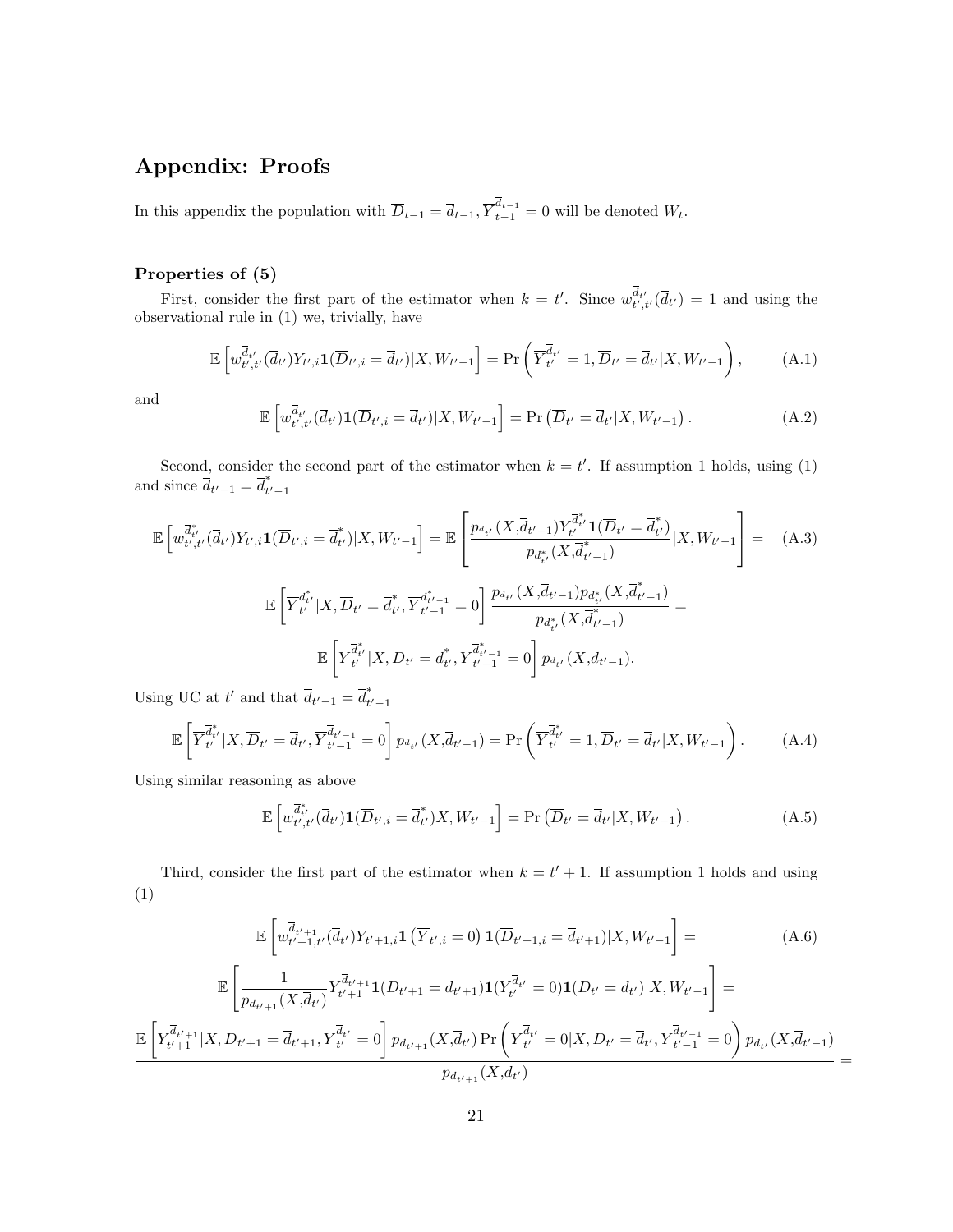## **Appendix: Proofs**

In this appendix the population with  $\overline{D}_{t-1} = \overline{d}_{t-1}, \overline{Y}_{t-1}^{d_{t-1}} = 0$  will be denoted  $W_t$ .

### **Properties of (5)**

First, consider the first part of the estimator when  $k = t'$ . Since  $w_{t',t'}^{d_{t'}}(\bar{d}_{t'}) = 1$  and using the observational rule in (1) we, trivially, have

$$
\mathbb{E}\left[w_{t',t'}^{\overline{d}_{t'}}(\overline{d}_{t'})Y_{t',i}\mathbf{1}(\overline{D}_{t',i}=\overline{d}_{t'})|X,W_{t'-1}\right] = \Pr\left(\overline{Y}_{t'}^{\overline{d}_{t'}}=1,\overline{D}_{t'}=\overline{d}_{t'}|X,W_{t'-1}\right),\tag{A.1}
$$

and

$$
\mathbb{E}\left[w_{t',t'}^{\overline{d}_{t'}}(\overline{d}_{t'})\mathbf{1}(\overline{D}_{t',i}=\overline{d}_{t'})|X,W_{t'-1}\right] = \Pr\left(\overline{D}_{t'}=\overline{d}_{t'}|X,W_{t'-1}\right). \tag{A.2}
$$

Second, consider the second part of the estimator when  $k = t'$ . If assumption 1 holds, using (1) and since  $\bar{d}_{t'-1} = \bar{d}_{t'-1}^*$ 

$$
\mathbb{E}\left[w_{t',t'}^{\overline{d}_{t'}}(\overline{d}_{t'})Y_{t',i}\mathbf{1}(\overline{D}_{t',i}=\overline{d}_{t'}^*)|X,W_{t'-1}\right] = \mathbb{E}\left[\frac{p_{d_{t'}}(X,\overline{d}_{t'-1})Y_{t'}^{\overline{d}_{t'}}\mathbf{1}(\overline{D}_{t'}=\overline{d}_{t'}^*)}{p_{d_{t'}^*}(X,\overline{d}_{t'-1}^*)}\big|X,W_{t'-1}\right] = (A.3)
$$
\n
$$
\mathbb{E}\left[\overline{Y}_{t'}^{\overline{d}_{t'}}|X,\overline{D}_{t'}=\overline{d}_{t'}^*,\overline{Y}_{t'-1}^{\overline{d}_{t'-1}^*}=\mathbf{0}\right]\frac{p_{d_{t'}}(X,\overline{d}_{t'-1})p_{d_{t'}^*}(X,\overline{d}_{t'-1}^*)}{p_{d_{t'}^*}(X,\overline{d}_{t'-1}^*)} = \mathbb{E}\left[\overline{Y}_{t'}^{\overline{d}_{t'}^*}|X,\overline{D}_{t'}=\overline{d}_{t'}^*,\overline{Y}_{t'-1}^{\overline{d}_{t'-1}^*}=\mathbf{0}\right]p_{d_{t'}}(X,\overline{d}_{t'-1}).
$$

Using UC at *t'* and that  $\overline{d}_{t'-1} = \overline{d}_{t'-1}^*$ 

$$
\mathbb{E}\left[\overline{Y}_{t'}^{\overline{d}_{t'}}|X,\overline{D}_{t'}=\overline{d}_{t'},\overline{Y}_{t'-1}^{\overline{d}_{t'-1}}=0\right]p_{d_{t'}}(X,\overline{d}_{t'-1})=\Pr\left(\overline{Y}_{t'}^{\overline{d}_{t'}}=1,\overline{D}_{t'}=\overline{d}_{t'}|X,W_{t'-1}\right).
$$
 (A.4)

Using similar reasoning as above

$$
\mathbb{E}\left[w_{t',t'}^{\overline{d}_{t'}}(\overline{d}_{t'})\mathbf{1}(\overline{D}_{t',i}=\overline{d}_{t'}^*)X,W_{t'-1}\right] = \Pr\left(\overline{D}_{t'}=\overline{d}_{t'}|X,W_{t'-1}\right). \tag{A.5}
$$

Third, consider the first part of the estimator when  $k = t' + 1$ . If assumption 1 holds and using (1)

$$
\mathbb{E}\left[w_{t'+1,t'}^{\overline{d}_{t'+1}}(\overline{d}_{t'})Y_{t'+1,i}\mathbf{1}\left(\overline{Y}_{t',i}=0\right)\mathbf{1}(\overline{D}_{t'+1,i}=\overline{d}_{t'+1})|X,W_{t'-1}\right]=\begin{array}{l}\n\mathbb{E}\left[\frac{1}{p_{d_{t'+1}}(X,\overline{d}_{t'})}Y_{t'+1}^{\overline{d}_{t'+1}}\mathbf{1}(D_{t'+1}=d_{t'+1})\mathbf{1}(Y_{t'}^{\overline{d}_{t'}}=0)\mathbf{1}(D_{t'}=d_{t'})|X,W_{t'-1}\right]=\n\end{array}\right.
$$
\n
$$
\mathbb{E}\left[Y_{t'+1}^{\overline{d}_{t'+1}}|X,\overline{D}_{t'+1}=\overline{d}_{t'+1},\overline{Y}_{t'}^{\overline{d}_{t'}}=0\right]p_{d_{t'+1}}(X,\overline{d}_{t'})\Pr\left(\overline{Y}_{t'}^{\overline{d}_{t'}}=0|X,\overline{D}_{t'}=\overline{d}_{t'},\overline{Y}_{t'-1}^{\overline{d}_{t'-1}}=0\right)p_{d_{t'}}(X,\overline{d}_{t'-1})
$$
\n
$$
p_{d_{t'+1}}(X,\overline{d}_{t'})
$$
\n
$$
(A.6)
$$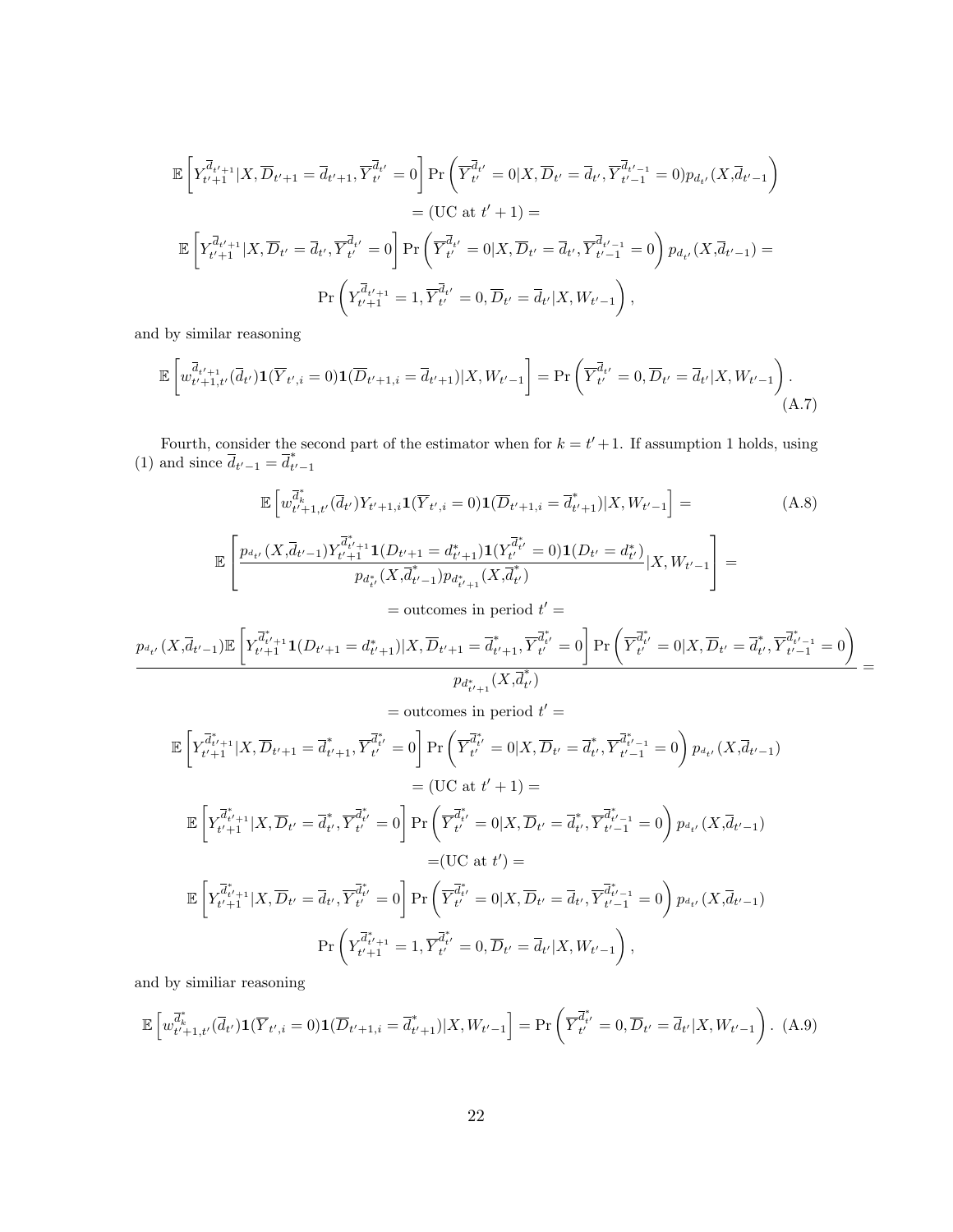$$
\mathbb{E}\left[Y_{t'+1}^{\overline{d}_{t'+1}}|X,\overline{D}_{t'+1}=\overline{d}_{t'+1},\overline{Y}_{t'}^{\overline{d}_{t'}}=0\right]\Pr\left(\overline{Y}_{t'}^{\overline{d}_{t'}}=0|X,\overline{D}_{t'}=\overline{d}_{t'},\overline{Y}_{t'-1}^{\overline{d}_{t'-1}}=0)p_{d_{t'}}(X,\overline{d}_{t'-1})\right)
$$

$$
=(\text{UC at }t'+1)=
$$

$$
\mathbb{E}\left[Y_{t'+1}^{\overline{d}_{t'+1}}|X,\overline{D}_{t'}=\overline{d}_{t'},\overline{Y}_{t'}^{\overline{d}_{t'}}=0\right]\Pr\left(\overline{Y}_{t'}^{\overline{d}_{t'}}=0|X,\overline{D}_{t'}=\overline{d}_{t'},\overline{Y}_{t'-1}^{\overline{d}_{t'-1}}=0\right)p_{d_{t'}}(X,\overline{d}_{t'-1})=
$$

$$
\Pr\left(Y_{t'+1}^{\overline{d}_{t'+1}}=1,\overline{Y}_{t'}^{\overline{d}_{t'}}=0,\overline{D}_{t'}=\overline{d}_{t'}|X,W_{t'-1}\right),
$$

and by similar reasoning

$$
\mathbb{E}\left[w_{t'+1,t'}^{\overline{d}_{t'+1}}(\overline{d}_{t'})\mathbf{1}(\overline{Y}_{t',i}=0)\mathbf{1}(\overline{D}_{t'+1,i}=\overline{d}_{t'+1})|X,W_{t'-1}\right]=\Pr\left(\overline{Y}_{t'}^{\overline{d}_{t'}}=0,\overline{D}_{t'}=\overline{d}_{t'}|X,W_{t'-1}\right).
$$
\n(A.7)

Fourth, consider the second part of the estimator when for  $k = t' + 1$ . If assumption 1 holds, using (1) and since  $\bar{d}_{t'-1} = \bar{d}_{t'-1}^*$ 

$$
\mathbb{E}\left[w_{t'+1,t'}^{\overline{d}_{k}^{*}}(\overline{d}_{t'})Y_{t'+1,i}\mathbf{1}(\overline{Y}_{t',i}=0)\mathbf{1}(\overline{D}_{t'+1,i}=\overline{d}_{t'+1}^{*})|X,W_{t'-1}\right]=\begin{cases} \begin{aligned} &\mathbb{E}\left[\frac{p_{d_{t'}}(X,\overline{d}_{t'-1})Y_{t'+1}^{\overline{d}_{t'+1}}\mathbf{1}(D_{t'+1}=d_{t+1}^{*})\mathbf{1}(Y_{t'}^{\overline{d}_{t'}}=0)\mathbf{1}(D_{t'}=d_{t'}^{*})|X,W_{t'-1}\right] &=\\ &\frac{p_{d_{t'}}(X,\overline{d}_{t'-1})Y_{t'+1}^{\overline{d}_{t'+1}}\mathbf{1}(D_{t'+1}=d_{t'+1}^{*})p_{d_{t'+1}}(X,\overline{d}_{t'}^{*})}{p_{d_{t'}^{*}}(X,\overline{d}_{t'-1}^{*})p_{d_{t'+1}}(X,\overline{d}_{t'}^{*})}\end{aligned}\end{cases}
$$
\n
$$
\frac{p_{d_{t'}}(X,\overline{d}_{t'-1})\mathbb{E}\left[Y_{t'+1}^{\overline{d}_{t'+1}^{*}}\mathbf{1}(D_{t'+1}=d_{t'+1}^{*})|X,\overline{D}_{t'+1}=\overline{d}_{t'+1}^{*},\overline{Y}_{t'}^{\overline{d}_{t'}^{*}}=0\right]\Pr\left(\overline{Y}_{t'}^{\overline{d}_{t'}^{*}}=0|X,\overline{D}_{t'}=\overline{d}_{t'}^{*},\overline{Y}_{t'-1}^{\overline{d}_{t'-1}^{*}}=0\right)}{p_{d_{t'+1}^{*}}(X,\overline{d}_{t'})} &= \end{cases}
$$

= outcomes in period 
$$
t' =
$$
  
\n
$$
\mathbb{E}\left[Y_{t'+1}^{\overline{d}_{t'+1}^*}|X,\overline{D}_{t'+1} = \overline{d}_{t'+1}^*\overline{Y}_{t'}^{\overline{d}_{t'}} = 0\right] \Pr\left(\overline{Y}_{t'}^{\overline{d}_{t'}} = 0|X,\overline{D}_{t'} = \overline{d}_{t'}^*, \overline{Y}_{t'-1}^{\overline{d}_{t'-1}^*} = 0\right) p_{d_{t'}}(X,\overline{d}_{t'-1})
$$
\n
$$
= (\text{UC at } t' + 1) =
$$
\n
$$
\mathbb{E}\left[Y_{t'+1}^{\overline{d}_{t'+1}^*}|X,\overline{D}_{t'} = \overline{d}_{t'}^*, \overline{Y}_{t'}^{\overline{d}_{t'}} = 0\right] \Pr\left(\overline{Y}_{t'}^{\overline{d}_{t'}^*} = 0|X,\overline{D}_{t'} = \overline{d}_{t'}^*, \overline{Y}_{t'-1}^{\overline{d}_{t'-1}^*} = 0\right) p_{d_{t'}}(X,\overline{d}_{t'-1})
$$
\n
$$
= (\text{UC at } t') =
$$
\n
$$
\mathbb{E}\left[Y_{t'+1}^{\overline{d}_{t'+1}^*}|X,\overline{D}_{t'} = \overline{d}_{t'}, \overline{Y}_{t'}^{\overline{d}_{t'}} = 0\right] \Pr\left(\overline{Y}_{t'}^{\overline{d}_{t'}^*} = 0|X,\overline{D}_{t'} = \overline{d}_{t'}, \overline{Y}_{t'-1}^{\overline{d}_{t'-1}^*} = 0\right) p_{d_{t'}}(X,\overline{d}_{t'-1})
$$
\n
$$
\Pr\left(Y_{t'+1}^{\overline{d}_{t'+1}^*} = 1, \overline{Y}_{t'}^{\overline{d}_{t'}^*} = 0, \overline{D}_{t'} = \overline{d}_{t'}|X,W_{t'-1}\right),
$$

and by similiar reasoning

$$
\mathbb{E}\left[w_{t'+1,t'}^{\overline{d}_{k}^{*}}(\overline{d}_{t'})\mathbf{1}(\overline{Y}_{t',i}=0)\mathbf{1}(\overline{D}_{t'+1,i}=\overline{d}_{t'+1}^{*})|X,W_{t'-1}\right]=\Pr\left(\overline{Y}_{t'}^{\overline{d}_{t'}}=0,\overline{D}_{t'}=\overline{d}_{t'}|X,W_{t'-1}\right).
$$
 (A.9)